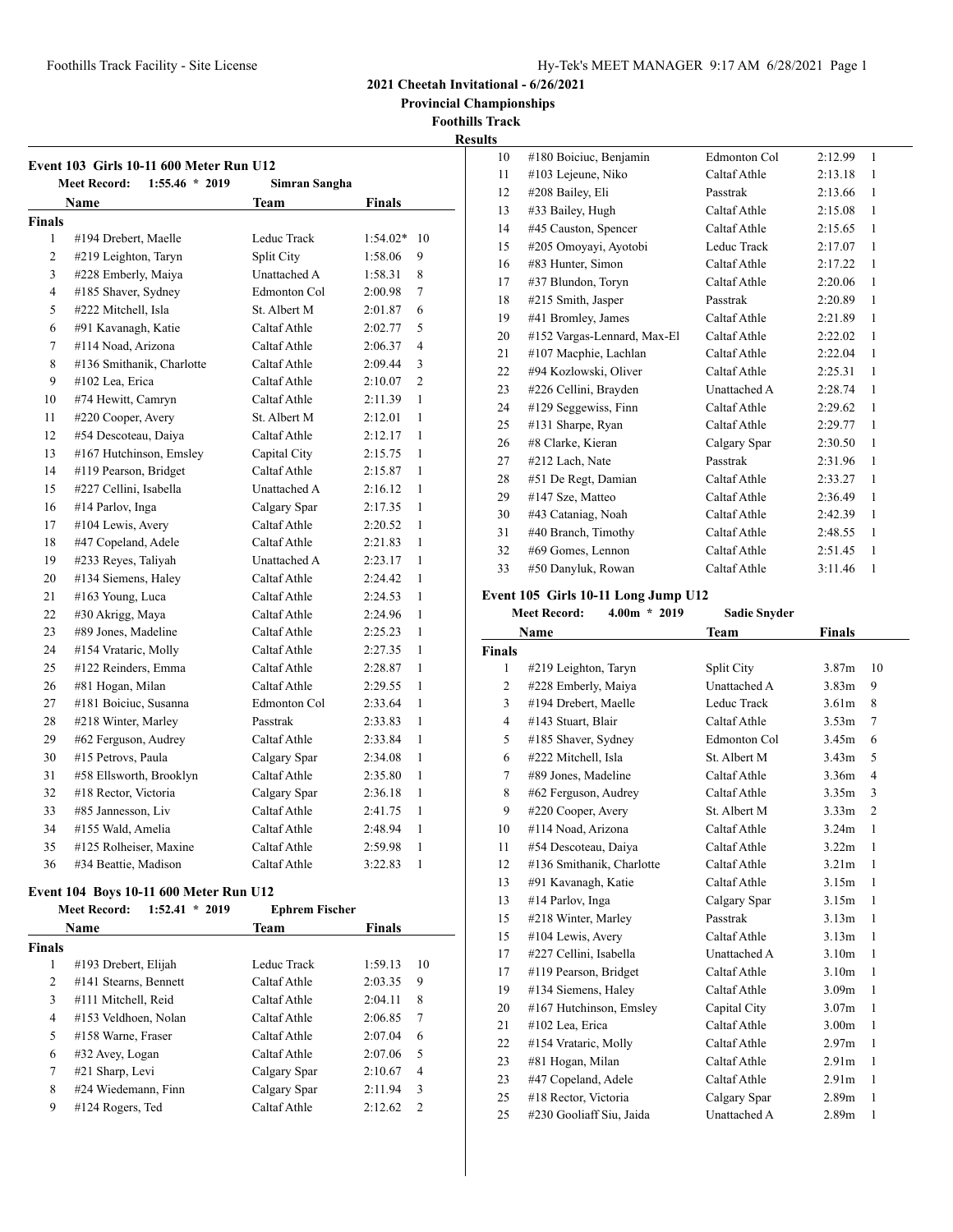**Provincial Championships**

**Foothills Track Results**

|                | <b>Event 103 Girls 10-11 600 Meter Run U12</b><br>$1:55.46 * 2019$<br><b>Meet Record:</b> | Simran Sangha       |            |                |
|----------------|-------------------------------------------------------------------------------------------|---------------------|------------|----------------|
|                | Name                                                                                      | Team                | Finals     |                |
| <b>Finals</b>  |                                                                                           |                     |            |                |
| 1              | #194 Drebert, Maelle                                                                      | Leduc Track         | $1:54.02*$ | 10             |
| $\overline{c}$ | #219 Leighton, Taryn                                                                      | Split City          | 1:58.06    | 9              |
| 3              | #228 Emberly, Maiya                                                                       | <b>Unattached A</b> | 1:58.31    | 8              |
| 4              | #185 Shaver, Sydney                                                                       | Edmonton Col        | 2:00.98    | 7              |
| 5              | #222 Mitchell, Isla                                                                       | St. Albert M        | 2:01.87    | 6              |
| 6              | #91 Kavanagh, Katie                                                                       | Caltaf Athle        | 2:02.77    | 5              |
| 7              | #114 Noad, Arizona                                                                        | Caltaf Athle        | 2:06.37    | $\overline{4}$ |
| 8              | #136 Smithanik, Charlotte                                                                 | Caltaf Athle        | 2:09.44    | 3              |
| 9              | #102 Lea. Erica                                                                           | Caltaf Athle        | 2:10.07    | $\overline{c}$ |
| 10             | #74 Hewitt, Camryn                                                                        | Caltaf Athle        | 2:11.39    | 1              |
| 11             | #220 Cooper, Avery                                                                        | St. Albert M        | 2:12.01    | $\mathbf{1}$   |
| 12             | #54 Descoteau, Daiya                                                                      | Caltaf Athle        | 2:12.17    | 1              |
| 13             | #167 Hutchinson, Emsley                                                                   | Capital City        | 2:15.75    | 1              |
| 14             | #119 Pearson, Bridget                                                                     | Caltaf Athle        | 2:15.87    | 1              |
| 15             | #227 Cellini, Isabella                                                                    | <b>Unattached A</b> | 2:16.12    | 1              |
| 16             | #14 Parlov, Inga                                                                          | Calgary Spar        | 2:17.35    | 1              |
| 17             | #104 Lewis, Avery                                                                         | Caltaf Athle        | 2:20.52    | 1              |
| 18             | #47 Copeland, Adele                                                                       | Caltaf Athle        | 2:21.83    | 1              |
| 19             | #233 Reyes, Taliyah                                                                       | <b>Unattached A</b> | 2:23.17    | 1              |
| 20             | #134 Siemens, Haley                                                                       | Caltaf Athle        | 2:24.42    | 1              |
| 21             | #163 Young, Luca                                                                          | Caltaf Athle        | 2:24.53    | 1              |
| 22             | #30 Akrigg, Maya                                                                          | Caltaf Athle        | 2:24.96    | 1              |
| 23             | #89 Jones, Madeline                                                                       | Caltaf Athle        | 2:25.23    | 1              |
| 24             | #154 Vrataric, Molly                                                                      | Caltaf Athle        | 2:27.35    | 1              |
| 25             | #122 Reinders, Emma                                                                       | Caltaf Athle        | 2:28.87    | 1              |
| 26             | #81 Hogan, Milan                                                                          | Caltaf Athle        | 2:29.55    | 1              |
| 27             | #181 Boiciuc, Susanna                                                                     | Edmonton Col        | 2:33.64    | 1              |
| 28             | #218 Winter, Marley                                                                       | Passtrak            | 2:33.83    | 1              |
| 29             | #62 Ferguson, Audrey                                                                      | Caltaf Athle        | 2:33.84    | 1              |
| 30             | #15 Petrovs, Paula                                                                        | Calgary Spar        | 2:34.08    | 1              |
| 31             | #58 Ellsworth, Brooklyn                                                                   | Caltaf Athle        | 2:35.80    | 1              |
| 32             | #18 Rector, Victoria                                                                      | Calgary Spar        | 2:36.18    | 1              |
| 33             | #85 Jannesson, Liv                                                                        | Caltaf Athle        | 2:41.75    | 1              |
| 34             | #155 Wald, Amelia                                                                         | Caltaf Athle        | 2:48.94    | 1              |
| 35             | #125 Rolheiser, Maxine                                                                    | Caltaf Athle        | 2:59.98    | 1              |
| 36             | #34 Beattie, Madison                                                                      | Caltaf Athle        | 3:22.83    | 1              |

# **Event 104 Boys 10-11 600 Meter Run U12**

|               | 1:52.41<br><b>Meet Record:</b><br>2019<br>$\star$ | <b>Ephrem Fischer</b> |               |               |
|---------------|---------------------------------------------------|-----------------------|---------------|---------------|
|               | <b>Name</b>                                       | <b>Team</b>           | <b>Finals</b> |               |
| <b>Finals</b> |                                                   |                       |               |               |
| 1             | #193 Drebert, Elijah                              | Leduc Track           | 1:59.13       | 10            |
| 2             | #141 Stearns, Bennett                             | Caltaf Athle          | 2:03.35       | 9             |
| 3             | #111 Mitchell, Reid                               | Caltaf Athle          | 2:04.11       | 8             |
| 4             | #153 Veldhoen, Nolan                              | Caltaf Athle          | 2:06.85       | 7             |
| 5             | #158 Warne, Fraser                                | Caltaf Athle          | 2:07.04       | 6             |
| 6             | #32 Avey, Logan                                   | Caltaf Athle          | 2:07.06       | 5             |
| 7             | #21 Sharp, Levi                                   | Calgary Spar          | 2:10.67       | 4             |
| 8             | #24 Wiedemann, Finn                               | Calgary Spar          | 2:11.94       | 3             |
| 9             | $#124$ Rogers, Ted                                | Caltaf Athle          | 2:12.62       | $\mathcal{L}$ |

| 10 | #180 Boiciuc, Benjamin      | Edmonton Col | 2:12.99 | 1 |
|----|-----------------------------|--------------|---------|---|
| 11 | #103 Lejeune, Niko          | Caltaf Athle | 2:13.18 | 1 |
| 12 | #208 Bailey, Eli            | Passtrak     | 2:13.66 | 1 |
| 13 | #33 Bailey, Hugh            | Caltaf Athle | 2:15.08 | 1 |
| 14 | #45 Causton, Spencer        | Caltaf Athle | 2:15.65 | 1 |
| 15 | #205 Omoyayi, Ayotobi       | Leduc Track  | 2:17.07 | 1 |
| 16 | #83 Hunter, Simon           | Caltaf Athle | 2:17.22 | 1 |
| 17 | #37 Blundon, Toryn          | Caltaf Athle | 2:20.06 | 1 |
| 18 | #215 Smith, Jasper          | Passtrak     | 2:20.89 | 1 |
| 19 | #41 Bromley, James          | Caltaf Athle | 2:21.89 | 1 |
| 20 | #152 Vargas-Lennard, Max-El | Caltaf Athle | 2:22.02 | 1 |
| 21 | #107 Macphie, Lachlan       | Caltaf Athle | 2:22.04 | 1 |
| 22 | #94 Kozlowski, Oliver       | Caltaf Athle | 2:25.31 | 1 |
| 23 | #226 Cellini, Brayden       | Unattached A | 2:28.74 | 1 |
| 24 | #129 Seggewiss, Finn        | Caltaf Athle | 2:29.62 | 1 |
| 25 | #131 Sharpe, Ryan           | Caltaf Athle | 2:29.77 | 1 |
| 26 | #8 Clarke, Kieran           | Calgary Spar | 2:30.50 | 1 |
| 27 | #212 Lach, Nate             | Passtrak     | 2:31.96 | 1 |
| 28 | #51 De Regt, Damian         | Caltaf Athle | 2:33.27 | 1 |
| 29 | #147 Sze, Matteo            | Caltaf Athle | 2:36.49 | 1 |
| 30 | #43 Cataniag, Noah          | Caltaf Athle | 2:42.39 | 1 |
| 31 | #40 Branch, Timothy         | Caltaf Athle | 2:48.55 | 1 |
| 32 | #69 Gomes, Lennon           | Caltaf Athle | 2:51.45 | 1 |
| 33 | #50 Danyluk, Rowan          | Caltaf Athle | 3:11.46 | 1 |

# **Event 105 Girls 10-11 Long Jump U12**

**Meet Record: 4.00m \* 2019 Sadie Snyder**

|               | Name                      | <b>Team</b>         | <b>Finals</b>     |                |
|---------------|---------------------------|---------------------|-------------------|----------------|
| <b>Finals</b> |                           |                     |                   |                |
| 1             | #219 Leighton, Taryn      | Split City          | 3.87 <sub>m</sub> | 10             |
| 2             | #228 Emberly, Maiya       | <b>Unattached A</b> | 3.83 <sub>m</sub> | 9              |
| 3             | #194 Drebert, Maelle      | Leduc Track         | 3.61 <sub>m</sub> | 8              |
| 4             | #143 Stuart, Blair        | Caltaf Athle        | 3.53 <sub>m</sub> | 7              |
| 5             | #185 Shaver, Sydney       | Edmonton Col        | 3.45m             | 6              |
| 6             | #222 Mitchell, Isla       | St. Albert M        | 3.43 <sub>m</sub> | 5              |
| 7             | #89 Jones, Madeline       | Caltaf Athle        | 3.36m             | $\overline{4}$ |
| 8             | #62 Ferguson, Audrey      | Caltaf Athle        | 3.35m             | 3              |
| 9             | #220 Cooper, Avery        | St. Albert M        | 3.33 <sub>m</sub> | $\overline{2}$ |
| 10            | #114 Noad, Arizona        | Caltaf Athle        | 3.24m             | 1              |
| 11            | #54 Descoteau, Daiya      | Caltaf Athle        | 3.22 <sub>m</sub> | 1              |
| 12            | #136 Smithanik, Charlotte | Caltaf Athle        | 3.21 <sub>m</sub> | 1              |
| 13            | #91 Kavanagh, Katie       | Caltaf Athle        | 3.15m             | 1              |
| 13            | #14 Parlov, Inga          | Calgary Spar        | 3.15m             | 1              |
| 15            | #218 Winter, Marley       | Passtrak            | 3.13m             | 1              |
| 15            | #104 Lewis, Avery         | Caltaf Athle        | 3.13m             | 1              |
| 17            | #227 Cellini, Isabella    | Unattached A        | 3.10 <sub>m</sub> | 1              |
| 17            | #119 Pearson, Bridget     | Caltaf Athle        | 3.10 <sub>m</sub> | 1              |
| 19            | #134 Siemens, Haley       | Caltaf Athle        | 3.09 <sub>m</sub> | 1              |
| 20            | #167 Hutchinson, Emsley   | Capital City        | 3.07 <sub>m</sub> | 1              |
| 21            | #102 Lea, Erica           | Caltaf Athle        | 3.00 <sub>m</sub> | 1              |
| 22            | #154 Vrataric, Molly      | Caltaf Athle        | 2.97 <sub>m</sub> | 1              |
| 23            | #81 Hogan, Milan          | Caltaf Athle        | 2.91 <sub>m</sub> | 1              |
| 23            | #47 Copeland, Adele       | Caltaf Athle        | 2.91 <sub>m</sub> | 1              |
| 25            | #18 Rector, Victoria      | Calgary Spar        | 2.89 <sub>m</sub> | 1              |
| 25            | #230 Gooliaff Siu, Jaida  | <b>Unattached A</b> | 2.89 <sub>m</sub> | 1              |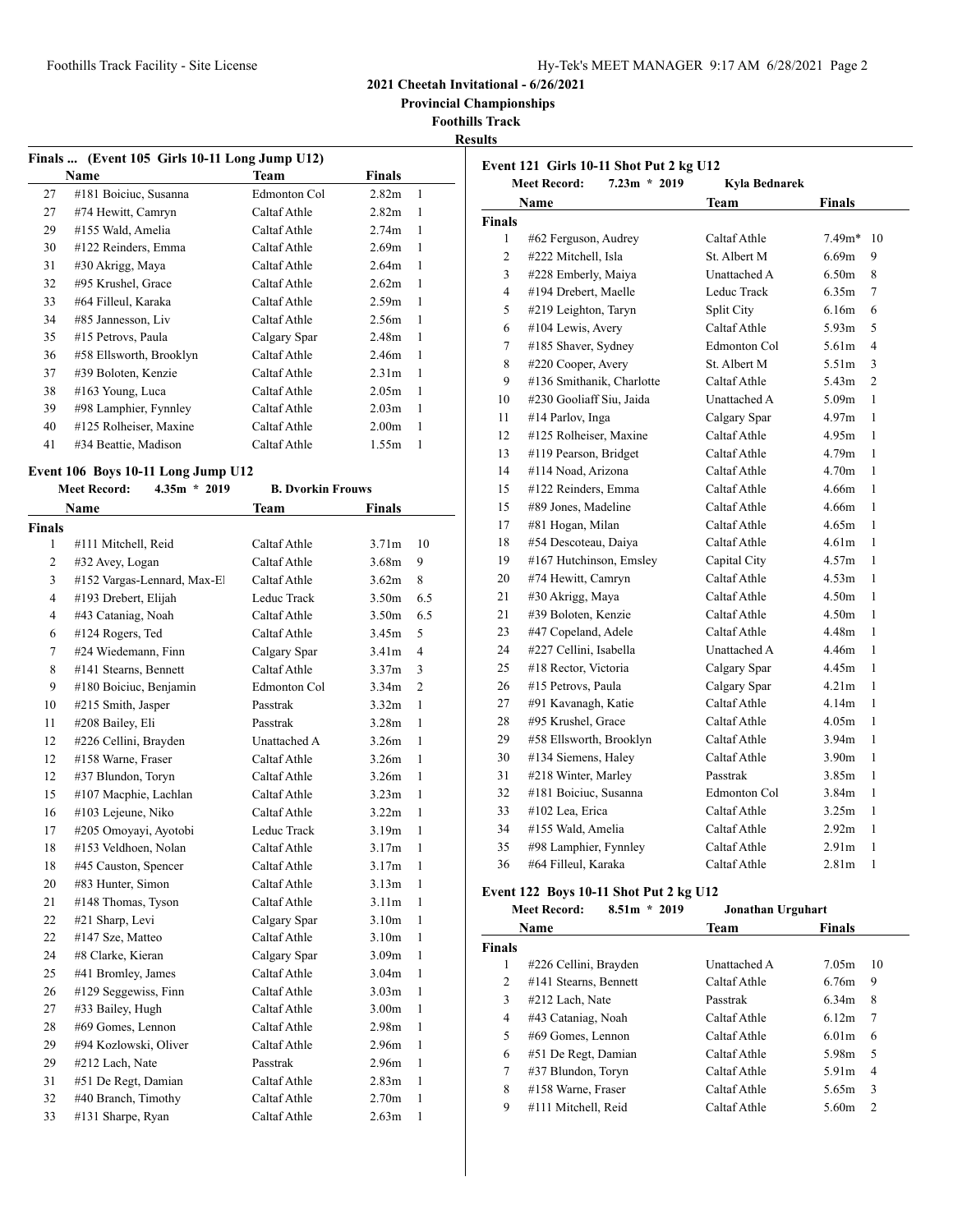**Provincial Championships**

**Foothills Track**

**Results**

| Finals  (Event 105 Girls 10-11 Long Jump U12) |                         |              |                   |   |
|-----------------------------------------------|-------------------------|--------------|-------------------|---|
|                                               | Name                    | Team         | Finals            |   |
| 27                                            | #181 Boiciuc, Susanna   | Edmonton Col | 2.82 <sub>m</sub> | 1 |
| 27                                            | #74 Hewitt, Camryn      | Caltaf Athle | 2.82 <sub>m</sub> | 1 |
| 29                                            | #155 Wald, Amelia       | Caltaf Athle | 2.74 <sub>m</sub> | 1 |
| 30                                            | #122 Reinders, Emma     | Caltaf Athle | 2.69 <sub>m</sub> | 1 |
| 31                                            | #30 Akrigg, Maya        | Caltaf Athle | 2.64 <sub>m</sub> | 1 |
| 32                                            | #95 Krushel, Grace      | Caltaf Athle | 2.62m             | 1 |
| 33                                            | #64 Filleul, Karaka     | Caltaf Athle | 2.59m             | 1 |
| 34                                            | #85 Jannesson, Liv      | Caltaf Athle | 2.56m             | 1 |
| 35                                            | #15 Petrovs, Paula      | Calgary Spar | 2.48m             | 1 |
| 36                                            | #58 Ellsworth, Brooklyn | Caltaf Athle | 2.46m             | 1 |
| 37                                            | #39 Boloten, Kenzie     | Caltaf Athle | 2.31 <sub>m</sub> | 1 |
| 38                                            | #163 Young, Luca        | Caltaf Athle | 2.05 <sub>m</sub> | 1 |
| 39                                            | #98 Lamphier, Fynnley   | Caltaf Athle | 2.03 <sub>m</sub> | 1 |
| 40                                            | #125 Rolheiser, Maxine  | Caltaf Athle | 2.00 <sub>m</sub> | 1 |
| 41                                            | #34 Beattie, Madison    | Caltaf Athle | 1.55m             | 1 |

# **Event 106 Boys 10-11 Long Jump U12**

|                | <b>Meet Record:</b><br>$4.35m * 2019$ | <b>B. Dvorkin Frouws</b> |                                     |  |
|----------------|---------------------------------------|--------------------------|-------------------------------------|--|
|                | <b>Name</b>                           | Team                     | <b>Finals</b>                       |  |
| Finals         |                                       |                          |                                     |  |
| 1              | #111 Mitchell, Reid                   | Caltaf Athle             | 3.71 <sub>m</sub><br>10             |  |
| $\overline{c}$ | #32 Avey, Logan                       | Caltaf Athle             | 9<br>3.68m                          |  |
| 3              | #152 Vargas-Lennard, Max-El           | Caltaf Athle             | 8<br>3.62m                          |  |
| 4              | #193 Drebert, Elijah                  | Leduc Track              | 3.50m<br>6.5                        |  |
| 4              | #43 Cataniag, Noah                    | Caltaf Athle             | 3.50 <sub>m</sub><br>6.5            |  |
| 6              | #124 Rogers, Ted                      | Caltaf Athle             | 3.45m<br>5                          |  |
| 7              | #24 Wiedemann, Finn                   | Calgary Spar             | 3.41 <sub>m</sub><br>$\overline{4}$ |  |
| 8              | #141 Stearns, Bennett                 | Caltaf Athle             | 3.37 <sub>m</sub><br>3              |  |
| 9              | #180 Boiciuc, Benjamin                | Edmonton Col             | 3.34 <sub>m</sub><br>$\overline{2}$ |  |
| 10             | #215 Smith, Jasper                    | Passtrak                 | 1<br>3.32 <sub>m</sub>              |  |
| 11             | #208 Bailey, Eli                      | Passtrak                 | 1<br>3.28 <sub>m</sub>              |  |
| 12             | #226 Cellini, Brayden                 | Unattached A             | 1<br>3.26m                          |  |
| 12             | #158 Warne, Fraser                    | Caltaf Athle             | 3.26m<br>1                          |  |
| 12             | #37 Blundon, Toryn                    | Caltaf Athle             | 3.26m<br>$\mathbf{1}$               |  |
| 15             | #107 Macphie, Lachlan                 | Caltaf Athle             | 3.23 <sub>m</sub><br>1              |  |
| 16             | #103 Lejeune, Niko                    | Caltaf Athle             | 3.22 <sub>m</sub><br>1              |  |
| 17             | #205 Omoyayi, Ayotobi                 | Leduc Track              | 3.19 <sub>m</sub><br>1              |  |
| 18             | #153 Veldhoen, Nolan                  | Caltaf Athle             | 3.17m<br>1                          |  |
| 18             | #45 Causton, Spencer                  | Caltaf Athle             | 3.17m<br>1                          |  |
| 20             | #83 Hunter, Simon                     | Caltaf Athle             | 1<br>3.13m                          |  |
| 21             | #148 Thomas, Tyson                    | Caltaf Athle             | 1<br>3.11 <sub>m</sub>              |  |
| 22             | #21 Sharp, Levi                       | Calgary Spar             | 1<br>3.10 <sub>m</sub>              |  |
| 22             | #147 Sze, Matteo                      | Caltaf Athle             | 3.10 <sub>m</sub><br>1              |  |
| 24             | #8 Clarke, Kieran                     | Calgary Spar             | 3.09 <sub>m</sub><br>1              |  |
| 25             | #41 Bromley, James                    | Caltaf Athle             | 3.04 <sub>m</sub><br>1              |  |
| 26             | #129 Seggewiss, Finn                  | Caltaf Athle             | 3.03 <sub>m</sub><br>1              |  |
| 27             | #33 Bailey, Hugh                      | Caltaf Athle             | 3.00 <sub>m</sub><br>1              |  |
| 28             | #69 Gomes, Lennon                     | Caltaf Athle             | 2.98 <sub>m</sub><br>1              |  |
| 29             | #94 Kozlowski, Oliver                 | Caltaf Athle             | 2.96 <sub>m</sub><br>1              |  |
| 29             | #212 Lach, Nate                       | Passtrak                 | 2.96 <sub>m</sub><br>1              |  |
| 31             | #51 De Regt, Damian                   | Caltaf Athle             | 1<br>2.83m                          |  |
| 32             | #40 Branch, Timothy                   | Caltaf Athle             | 2.70 <sub>m</sub><br>$\mathbf{1}$   |  |
| 33             | #131 Sharpe, Ryan                     | Caltaf Athle             | 2.63m<br>1                          |  |

| Event 121 Girls 10-11 Shot Put 2 kg U12<br><b>Meet Record:</b><br>$7.23m * 2019$<br>Kyla Bednarek |                           |                     |                   |                          |
|---------------------------------------------------------------------------------------------------|---------------------------|---------------------|-------------------|--------------------------|
|                                                                                                   | Name                      | Team                | Finals            |                          |
| <b>Finals</b>                                                                                     |                           |                     |                   |                          |
| 1                                                                                                 | #62 Ferguson, Audrey      | Caltaf Athle        | $7.49m*$          | 10                       |
| $\overline{2}$                                                                                    | #222 Mitchell, Isla       | St. Albert M        | 6.69m             | 9                        |
| 3                                                                                                 | #228 Emberly, Maiya       | <b>Unattached A</b> | 6.50 <sub>m</sub> | 8                        |
| 4                                                                                                 | #194 Drebert, Maelle      | Leduc Track         | 6.35m             | 7                        |
| 5                                                                                                 | #219 Leighton, Taryn      | Split City          | 6.16m             | 6                        |
| 6                                                                                                 | #104 Lewis, Avery         | Caltaf Athle        | 5.93m             | 5                        |
| 7                                                                                                 | #185 Shaver, Sydney       | Edmonton Col        | 5.61 <sub>m</sub> | $\overline{\mathcal{A}}$ |
| 8                                                                                                 | #220 Cooper, Avery        | St. Albert M        | 5.51 <sub>m</sub> | 3                        |
| 9                                                                                                 | #136 Smithanik, Charlotte | Caltaf Athle        | 5.43m             | $\overline{c}$           |
| 10                                                                                                | #230 Gooliaff Siu, Jaida  | Unattached A        | 5.09 <sub>m</sub> | 1                        |
| 11                                                                                                | #14 Parlov, Inga          | Calgary Spar        | 4.97 <sub>m</sub> | 1                        |
| 12                                                                                                | #125 Rolheiser, Maxine    | Caltaf Athle        | 4.95m             | 1                        |
| 13                                                                                                | #119 Pearson, Bridget     | Caltaf Athle        | 4.79m             | 1                        |
| 14                                                                                                | #114 Noad, Arizona        | Caltaf Athle        | 4.70 <sub>m</sub> | 1                        |
| 15                                                                                                | #122 Reinders, Emma       | Caltaf Athle        | 4.66m             | 1                        |
| 15                                                                                                | #89 Jones, Madeline       | Caltaf Athle        | 4.66m             | 1                        |
| 17                                                                                                | #81 Hogan, Milan          | Caltaf Athle        | 4.65m             | 1                        |
| 18                                                                                                | #54 Descoteau, Daiya      | Caltaf Athle        | 4.61 <sub>m</sub> | 1                        |
| 19                                                                                                | #167 Hutchinson, Emsley   | Capital City        | 4.57m             | 1                        |
| 20                                                                                                | #74 Hewitt, Camryn        | Caltaf Athle        | 4.53m             | 1                        |
| 21                                                                                                | #30 Akrigg, Maya          | Caltaf Athle        | 4.50m             | 1                        |
| 21                                                                                                | #39 Boloten, Kenzie       | Caltaf Athle        | 4.50 <sub>m</sub> | 1                        |
| 23                                                                                                | #47 Copeland, Adele       | Caltaf Athle        | 4.48m             | 1                        |
| 24                                                                                                | #227 Cellini, Isabella    | Unattached A        | 4.46m             | 1                        |
| 25                                                                                                | #18 Rector, Victoria      | Calgary Spar        | 4.45m             | 1                        |
| 26                                                                                                | #15 Petrovs, Paula        | Calgary Spar        | 4.21 <sub>m</sub> | 1                        |
| 27                                                                                                | #91 Kavanagh, Katie       | Caltaf Athle        | 4.14m             | 1                        |
| 28                                                                                                | #95 Krushel, Grace        | Caltaf Athle        | 4.05m             | 1                        |
| 29                                                                                                | #58 Ellsworth, Brooklyn   | Caltaf Athle        | 3.94 <sub>m</sub> | 1                        |
| 30                                                                                                | #134 Siemens, Haley       | Caltaf Athle        | 3.90 <sub>m</sub> | 1                        |
| 31                                                                                                | #218 Winter, Marley       | Passtrak            | 3.85m             | 1                        |
| 32                                                                                                | #181 Boiciuc, Susanna     | Edmonton Col        | 3.84m             | 1                        |
| 33                                                                                                | #102 Lea, Erica           | Caltaf Athle        | 3.25m             | 1                        |
| 34                                                                                                | #155 Wald, Amelia         | Caltaf Athle        | 2.92 <sub>m</sub> | 1                        |
| 35                                                                                                | #98 Lamphier, Fynnley     | Caltaf Athle        | 2.91 <sub>m</sub> | 1                        |
| 36                                                                                                | #64 Filleul, Karaka       | Caltaf Athle        | 2.81 <sub>m</sub> | 1                        |

# **Event 122 Boys 10-11 Shot Put 2 kg U12**

|               | $8.51m * 2019$<br><b>Meet Record:</b> | Jonathan Urguhart |                         |
|---------------|---------------------------------------|-------------------|-------------------------|
|               | <b>Name</b>                           | <b>Team</b>       | Finals                  |
| <b>Finals</b> |                                       |                   |                         |
| 1             | #226 Cellini, Brayden                 | Unattached A      | 7.05m<br>10             |
| 2             | #141 Stearns, Bennett                 | Caltaf Athle      | 6.76m<br>9              |
| 3             | #212 Lach, Nate                       | Passtrak          | 8<br>6.34m              |
| 4             | #43 Cataniag, Noah                    | Caltaf Athle      | 6.12m<br>7              |
| 5             | #69 Gomes, Lennon                     | Caltaf Athle      | 6.01 <sub>m</sub><br>6  |
| 6             | #51 De Regt, Damian                   | Caltaf Athle      | 5<br>5.98m              |
| 7             | #37 Blundon, Toryn                    | Caltaf Athle      | 5.91m<br>$\overline{4}$ |
| 8             | #158 Warne, Fraser                    | Caltaf Athle      | 3<br>5.65m              |
| 9             | #111 Mitchell, Reid                   | Caltaf Athle      | 5.60m<br>2              |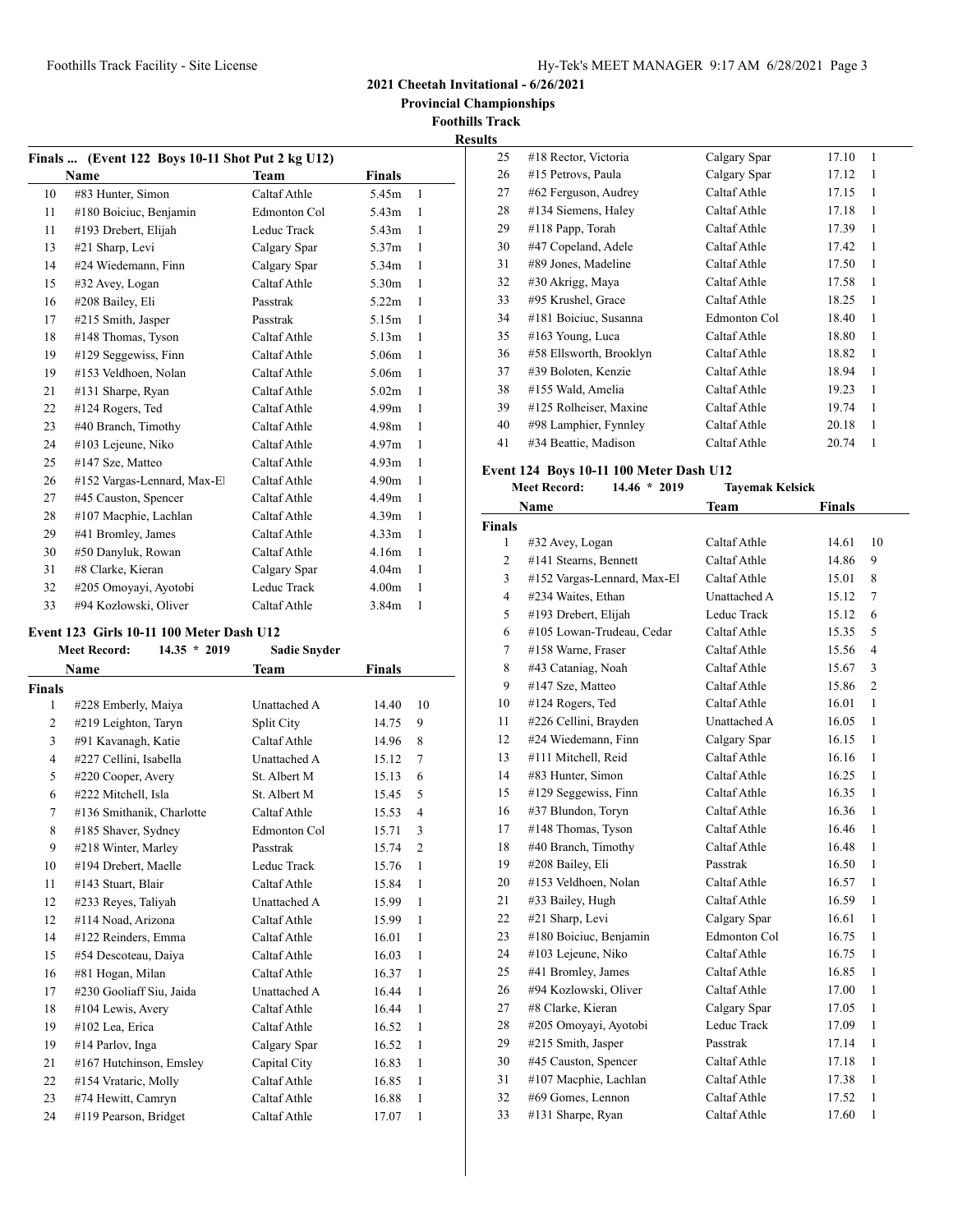**2021 Cheetah Invitational - 6/26/2021**

 **Provincial Championships**

**Foothills Track Results**

### **Finals ... (Event 122 Boys 10-11 Shot Put 2 kg U12) Name Team Finals**  #83 Hunter, Simon Caltaf Athle 5.45m 1 #180 Boiciuc, Benjamin Edmonton Col 5.43m 1 #193 Drebert, Elijah Leduc Track 5.43m 1 #21 Sharp, Levi Calgary Spar 5.37m 1 #24 Wiedemann, Finn Calgary Spar 5.34m 1 #32 Avey, Logan Caltaf Athle 5.30m 1 #208 Bailey, Eli Passtrak 5.22m 1 #215 Smith, Jasper Passtrak 5.15m 1 #148 Thomas, Tyson Caltaf Athle 5.13m 1 #129 Seggewiss, Finn Caltaf Athle 5.06m 1 #153 Veldhoen, Nolan Caltaf Athle 5.06m 1 #131 Sharpe, Ryan Caltaf Athle 5.02m 1 #124 Rogers, Ted Caltaf Athle 4.99m 1 23 #40 Branch, Timothy Caltaf Athle 4.98m 1 #103 Lejeune, Niko Caltaf Athle 4.97m 1 #147 Sze, Matteo Caltaf Athle 4.93m 1 26 #152 Vargas-Lennard, Max-El Caltaf Athle 4.90m 1 #45 Causton, Spencer Caltaf Athle 4.49m 1 #107 Macphie, Lachlan Caltaf Athle 4.39m 1 29 #41 Bromley, James Caltaf Athle 4.33m 1 #50 Danyluk, Rowan Caltaf Athle 4.16m 1 #8 Clarke, Kieran Calgary Spar 4.04m 1 #205 Omoyayi, Ayotobi Leduc Track 4.00m 1 #94 Kozlowski, Oliver Caltaf Athle 3.84m 1

#### **Event 123 Girls 10-11 100 Meter Dash U12**

|                | <b>Meet Record:</b><br>$14.35 * 2019$ | <b>Sadie Snyder</b> |               |                |
|----------------|---------------------------------------|---------------------|---------------|----------------|
|                | <b>Name</b>                           | Team                | <b>Finals</b> |                |
| <b>Finals</b>  |                                       |                     |               |                |
| 1              | #228 Emberly, Maiya                   | Unattached A        | 14.40         | 10             |
| 2              | #219 Leighton, Taryn                  | Split City          | 14.75         | 9              |
| 3              | #91 Kavanagh, Katie                   | Caltaf Athle        | 14.96         | 8              |
| $\overline{4}$ | #227 Cellini, Isabella                | Unattached A        | 15.12         | 7              |
| 5              | #220 Cooper, Avery                    | St. Albert M        | 15.13         | 6              |
| 6              | #222 Mitchell, Isla                   | St. Albert M        | 15.45         | 5              |
| 7              | #136 Smithanik, Charlotte             | Caltaf Athle        | 15.53         | $\overline{4}$ |
| 8              | #185 Shaver, Sydney                   | Edmonton Col        | 15.71         | 3              |
| 9              | #218 Winter, Marley                   | Passtrak            | 15.74         | $\overline{2}$ |
| 10             | #194 Drebert, Maelle                  | Leduc Track         | 15.76         | 1              |
| 11             | #143 Stuart, Blair                    | Caltaf Athle        | 15.84         | $\mathbf{1}$   |
| 12             | #233 Reyes, Taliyah                   | <b>Unattached A</b> | 15.99         | $\mathbf{1}$   |
| 12             | #114 Noad, Arizona                    | Caltaf Athle        | 15.99         | $\mathbf{1}$   |
| 14             | #122 Reinders, Emma                   | Caltaf Athle        | 16.01         | $\mathbf{1}$   |
| 15             | #54 Descoteau, Daiya                  | Caltaf Athle        | 16.03         | $\mathbf{1}$   |
| 16             | #81 Hogan, Milan                      | Caltaf Athle        | 16.37         | 1              |
| 17             | #230 Gooliaff Siu, Jaida              | Unattached A        | 16.44         | $\mathbf{1}$   |
| 18             | #104 Lewis, Avery                     | Caltaf Athle        | 16.44         | 1              |
| 19             | #102 Lea, Erica                       | Caltaf Athle        | 16.52         | $\mathbf{1}$   |
| 19             | #14 Parlov, Inga                      | Calgary Spar        | 16.52         | $\mathbf{1}$   |
| 21             | #167 Hutchinson, Emsley               | Capital City        | 16.83         | 1              |
| 22             | #154 Vrataric, Molly                  | Caltaf Athle        | 16.85         | 1              |
| 23             | #74 Hewitt, Camryn                    | Caltaf Athle        | 16.88         | $\mathbf{1}$   |
| 24             | #119 Pearson, Bridget                 | Caltaf Athle        | 17.07         | 1              |

| 25 | #18 Rector, Victoria    | Calgary Spar | 17.10 | 1 |  |
|----|-------------------------|--------------|-------|---|--|
| 26 | #15 Petrovs, Paula      | Calgary Spar | 17.12 | 1 |  |
| 27 | #62 Ferguson, Audrey    | Caltaf Athle | 17.15 | 1 |  |
| 28 | #134 Siemens, Haley     | Caltaf Athle | 17.18 | 1 |  |
| 29 | #118 Papp, Torah        | Caltaf Athle | 17.39 | 1 |  |
| 30 | #47 Copeland, Adele     | Caltaf Athle | 17.42 | 1 |  |
| 31 | #89 Jones, Madeline     | Caltaf Athle | 17.50 | 1 |  |
| 32 | #30 Akrigg, Maya        | Caltaf Athle | 17.58 | 1 |  |
| 33 | #95 Krushel, Grace      | Caltaf Athle | 18.25 | 1 |  |
| 34 | #181 Boiciuc, Susanna   | Edmonton Col | 18.40 | 1 |  |
| 35 | #163 Young, Luca        | Caltaf Athle | 18.80 | 1 |  |
| 36 | #58 Ellsworth, Brooklyn | Caltaf Athle | 18.82 | 1 |  |
| 37 | #39 Boloten, Kenzie     | Caltaf Athle | 18.94 | 1 |  |
| 38 | #155 Wald, Amelia       | Caltaf Athle | 19.23 | 1 |  |
| 39 | #125 Rolheiser, Maxine  | Caltaf Athle | 19.74 | 1 |  |
| 40 | #98 Lamphier, Fynnley   | Caltaf Athle | 20.18 | 1 |  |
| 41 | #34 Beattie, Madison    | Caltaf Athle | 20.74 | 1 |  |

#### **Event 124 Boys 10-11 100 Meter Dash U12**

|                | <b>Meet Record:</b><br>$14.46 * 2019$ | <b>Tayemak Kelsick</b> |        |                |
|----------------|---------------------------------------|------------------------|--------|----------------|
|                | Name                                  | <b>Team</b>            | Finals |                |
| Finals         |                                       |                        |        |                |
| 1              | #32 Avey, Logan                       | Caltaf Athle           | 14.61  | 10             |
| $\overline{c}$ | #141 Stearns, Bennett                 | Caltaf Athle           | 14.86  | 9              |
| 3              | #152 Vargas-Lennard, Max-El           | Caltaf Athle           | 15.01  | 8              |
| 4              | #234 Waites, Ethan                    | Unattached A           | 15.12  | 7              |
| 5              | #193 Drebert, Elijah                  | Leduc Track            | 15.12  | 6              |
| 6              | #105 Lowan-Trudeau, Cedar             | Caltaf Athle           | 15.35  | 5              |
| 7              | #158 Warne, Fraser                    | Caltaf Athle           | 15.56  | $\overline{4}$ |
| 8              | #43 Cataniag, Noah                    | Caltaf Athle           | 15.67  | 3              |
| 9              | #147 Sze, Matteo                      | Caltaf Athle           | 15.86  | $\overline{c}$ |
| 10             | #124 Rogers, Ted                      | Caltaf Athle           | 16.01  | 1              |
| 11             | #226 Cellini, Brayden                 | Unattached A           | 16.05  | $\mathbf{1}$   |
| 12             | #24 Wiedemann, Finn                   | Calgary Spar           | 16.15  | 1              |
| 13             | #111 Mitchell, Reid                   | Caltaf Athle           | 16.16  | 1              |
| 14             | #83 Hunter, Simon                     | Caltaf Athle           | 16.25  | 1              |
| 15             | #129 Seggewiss, Finn                  | Caltaf Athle           | 16.35  | 1              |
| 16             | #37 Blundon, Toryn                    | Caltaf Athle           | 16.36  | 1              |
| 17             | #148 Thomas, Tyson                    | Caltaf Athle           | 16.46  | 1              |
| 18             | #40 Branch, Timothy                   | Caltaf Athle           | 16.48  | 1              |
| 19             | #208 Bailey, Eli                      | Passtrak               | 16.50  | 1              |
| 20             | #153 Veldhoen, Nolan                  | Caltaf Athle           | 16.57  | 1              |
| 21             | #33 Bailey, Hugh                      | Caltaf Athle           | 16.59  | 1              |
| 22             | #21 Sharp, Levi                       | Calgary Spar           | 16.61  | 1              |
| 23             | #180 Boiciuc, Benjamin                | Edmonton Col           | 16.75  | 1              |
| 24             | #103 Lejeune, Niko                    | Caltaf Athle           | 16.75  | 1              |
| 25             | #41 Bromley, James                    | Caltaf Athle           | 16.85  | 1              |
| 26             | #94 Kozlowski, Oliver                 | Caltaf Athle           | 17.00  | 1              |
| 27             | #8 Clarke, Kieran                     | Calgary Spar           | 17.05  | 1              |
| 28             | #205 Omoyayi, Ayotobi                 | Leduc Track            | 17.09  | 1              |
| 29             | #215 Smith, Jasper                    | Passtrak               | 17.14  | $\mathbf{1}$   |
| 30             | #45 Causton, Spencer                  | Caltaf Athle           | 17.18  | 1              |
| 31             | #107 Macphie, Lachlan                 | Caltaf Athle           | 17.38  | 1              |
| 32             | #69 Gomes, Lennon                     | Caltaf Athle           | 17.52  | 1              |
| 33             | #131 Sharpe, Ryan                     | Caltaf Athle           | 17.60  | 1              |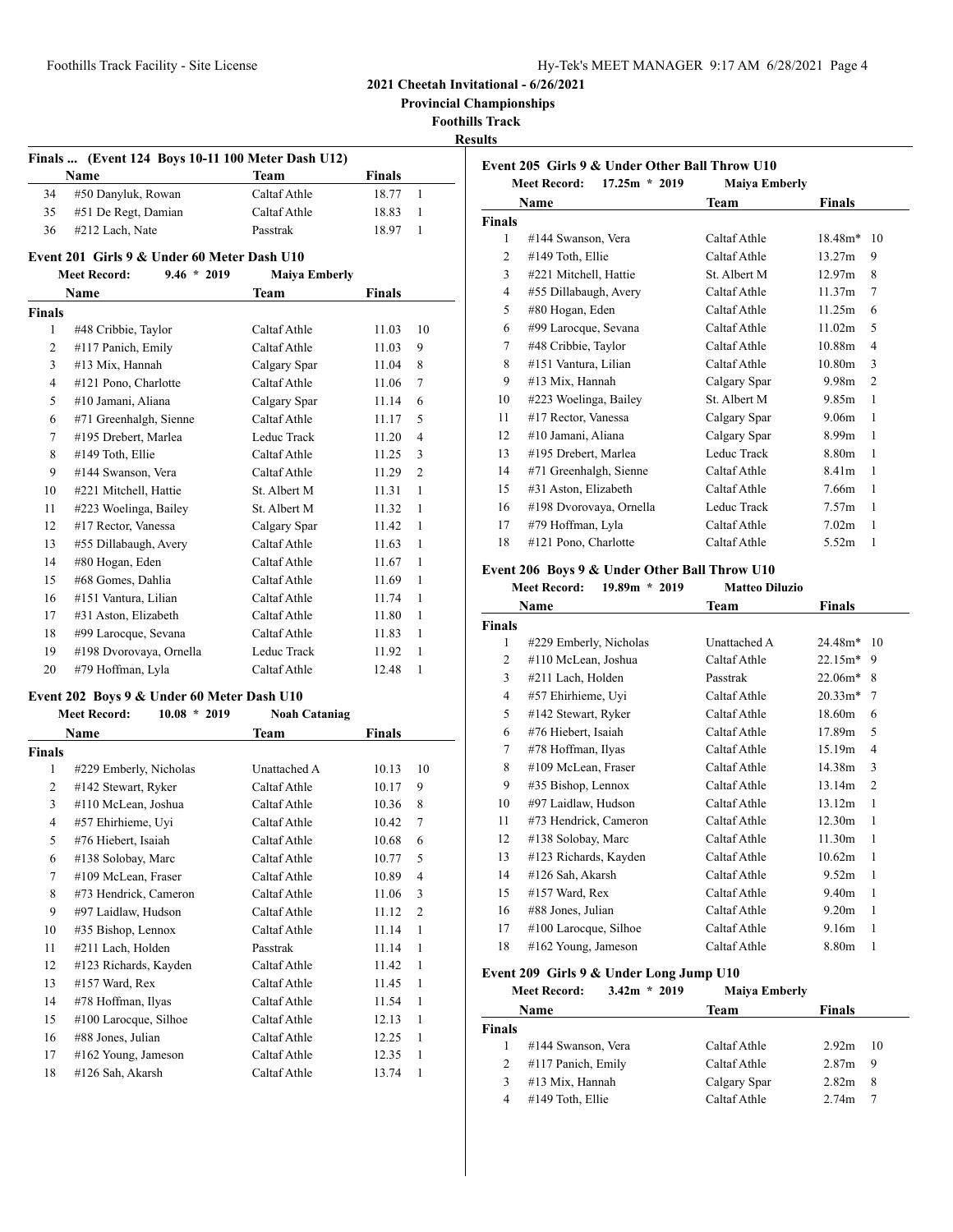**Provincial Championships**

**Foothills Track**

**Results**

|    | <b>Name</b>         | Team         | <b>Finals</b> |  |
|----|---------------------|--------------|---------------|--|
| 34 | #50 Danyluk, Rowan  | Caltaf Athle | 18.77         |  |
| 35 | #51 De Regt, Damian | Caltaf Athle | 18.83         |  |
| 36 | #212 Lach, Nate     | Passtrak     | 18.97         |  |

|                | <b>Meet Record:</b><br>$9.46 * 2019$ | <b>Maiya Emberly</b> |        |                |
|----------------|--------------------------------------|----------------------|--------|----------------|
|                | Name                                 | Team                 | Finals |                |
| Finals         |                                      |                      |        |                |
| 1              | #48 Cribbie, Taylor                  | Caltaf Athle         | 11.03  | 10             |
| $\overline{2}$ | #117 Panich, Emily                   | Caltaf Athle         | 11.03  | 9              |
| 3              | #13 Mix, Hannah                      | Calgary Spar         | 11.04  | 8              |
| 4              | #121 Pono, Charlotte                 | Caltaf Athle         | 11.06  | $\tau$         |
| 5              | #10 Jamani, Aliana                   | Calgary Spar         | 11.14  | 6              |
| 6              | #71 Greenhalgh, Sienne               | Caltaf Athle         | 11.17  | 5              |
| 7              | #195 Drebert, Marlea                 | Leduc Track          | 11.20  | 4              |
| 8              | #149 Toth, Ellie                     | Caltaf Athle         | 11.25  | 3              |
| 9              | #144 Swanson, Vera                   | Caltaf Athle         | 11.29  | $\overline{c}$ |
| 10             | #221 Mitchell, Hattie                | St. Albert M         | 11.31  | $\mathbf{1}$   |
| 11             | #223 Woelinga, Bailey                | St. Albert M         | 11.32  | 1              |
| 12             | #17 Rector, Vanessa                  | Calgary Spar         | 11.42  | 1              |
| 13             | #55 Dillabaugh, Avery                | Caltaf Athle         | 11.63  | 1              |
| 14             | #80 Hogan, Eden                      | Caltaf Athle         | 11.67  | 1              |
| 15             | #68 Gomes, Dahlia                    | Caltaf Athle         | 11.69  | 1              |
| 16             | #151 Vantura, Lilian                 | Caltaf Athle         | 11.74  | $\mathbf{1}$   |
| 17             | #31 Aston, Elizabeth                 | Caltaf Athle         | 11.80  | 1              |
| 18             | #99 Larocque, Sevana                 | Caltaf Athle         | 11.83  | 1              |
| 19             | #198 Dvorovaya, Ornella              | Leduc Track          | 11.92  | 1              |
| 20             | #79 Hoffman, Lyla                    | Caltaf Athle         | 12.48  | 1              |

#### **Event 202 Boys 9 & Under 60 Meter Dash U10**

|        | $10.08 * 2019$<br><b>Meet Record:</b> | <b>Noah Cataniag</b> |               |                |
|--------|---------------------------------------|----------------------|---------------|----------------|
|        | Name                                  | Team                 | <b>Finals</b> |                |
| Finals |                                       |                      |               |                |
| 1      | #229 Emberly, Nicholas                | Unattached A         | 10.13         | 10             |
| 2      | #142 Stewart, Ryker                   | Caltaf Athle         | 10.17         | 9              |
| 3      | #110 McLean, Joshua                   | Caltaf Athle         | 10.36         | 8              |
| 4      | #57 Ehirhieme, Uyi                    | Caltaf Athle         | 10.42         | 7              |
| 5      | #76 Hiebert, Isaiah                   | Caltaf Athle         | 10.68         | 6              |
| 6      | #138 Solobay, Marc                    | Caltaf Athle         | 10.77         | 5              |
| 7      | #109 McLean, Fraser                   | Caltaf Athle         | 10.89         | 4              |
| 8      | #73 Hendrick, Cameron                 | Caltaf Athle         | 11.06         | 3              |
| 9      | #97 Laidlaw, Hudson                   | Caltaf Athle         | 11.12         | $\overline{2}$ |
| 10     | #35 Bishop, Lennox                    | Caltaf Athle         | 11.14         | 1              |
| 11     | #211 Lach, Holden                     | Passtrak             | 11.14         | 1              |
| 12     | #123 Richards, Kayden                 | Caltaf Athle         | 11.42         | 1              |
| 13     | #157 Ward, Rex                        | Caltaf Athle         | 11.45         | 1              |
| 14     | #78 Hoffman, Ilyas                    | Caltaf Athle         | 11.54         | 1              |
| 15     | #100 Larocque, Silhoe                 | Caltaf Athle         | 12.13         | 1              |
| 16     | #88 Jones, Julian                     | Caltaf Athle         | 12.25         | 1              |
| 17     | #162 Young, Jameson                   | Caltaf Athle         | 12.35         | 1              |
| 18     | #126 Sah, Akarsh                      | Caltaf Athle         | 13.74         | 1              |

|               | <b>Meet Record:</b><br>$17.25m * 2019$ | <b>Maiya Emberly</b> |                    |                |
|---------------|----------------------------------------|----------------------|--------------------|----------------|
|               | Name                                   | <b>Team</b>          | Finals             |                |
| <b>Finals</b> |                                        |                      |                    |                |
| 1             | #144 Swanson, Vera                     | Caltaf Athle         | $18.48m*$          | 10             |
| 2             | #149 Toth, Ellie                       | Caltaf Athle         | 13.27m             | 9              |
| 3             | #221 Mitchell, Hattie                  | St. Albert M         | 12.97m             | 8              |
| 4             | #55 Dillabaugh, Avery                  | Caltaf Athle         | 11.37m             | 7              |
| 5             | #80 Hogan, Eden                        | Caltaf Athle         | 11.25m             | 6              |
| 6             | #99 Larocque, Sevana                   | Caltaf Athle         | 11.02m             | 5              |
| 7             | #48 Cribbie, Taylor                    | Caltaf Athle         | 10.88 <sub>m</sub> | 4              |
| 8             | #151 Vantura, Lilian                   | Caltaf Athle         | 10.80 <sub>m</sub> | 3              |
| 9             | #13 Mix, Hannah                        | Calgary Spar         | 9.98m              | $\overline{2}$ |
| 10            | #223 Woelinga, Bailey                  | St. Albert M         | 9.85m              | 1              |
| 11            | $#17$ Rector, Vanessa                  | Calgary Spar         | 9.06m              | 1              |
| 12            | #10 Jamani, Aliana                     | Calgary Spar         | 8.99 <sub>m</sub>  | 1              |
| 13            | #195 Drebert, Marlea                   | Leduc Track          | 8.80m              | 1              |
| 14            | #71 Greenhalgh, Sienne                 | Caltaf Athle         | 8.41 <sub>m</sub>  | 1              |
| 15            | #31 Aston, Elizabeth                   | Caltaf Athle         | 7.66m              | 1              |
| 16            | #198 Dvorovaya, Ornella                | Leduc Track          | 7.57 <sub>m</sub>  | 1              |
| 17            | #79 Hoffman, Lyla                      | Caltaf Athle         | 7.02 <sub>m</sub>  | 1              |
| 18            | #121 Pono, Charlotte                   | Caltaf Athle         | 5.52m              | 1              |

# **Event 206 Boys 9 & Under Other Ball Throw U10**

| <b>Meet Record:</b> | $19.89m * 2019$ | <b>Matteo Diluzio</b> |
|---------------------|-----------------|-----------------------|

|               | Name                   | Team         | Finals            |                |
|---------------|------------------------|--------------|-------------------|----------------|
| <b>Finals</b> |                        |              |                   |                |
| 1             | #229 Emberly, Nicholas | Unattached A | 24.48m*           | - 10           |
| 2             | #110 McLean, Joshua    | Caltaf Athle | $22.15m*$         | 9              |
| 3             | #211 Lach, Holden      | Passtrak     | $22.06m*$         | 8              |
| 4             | #57 Ehirhieme, Uyi     | Caltaf Athle | $20.33*$          | 7              |
| 5             | #142 Stewart, Ryker    | Caltaf Athle | 18.60m            | 6              |
| 6             | #76 Hiebert, Isaiah    | Caltaf Athle | 17.89m            | 5              |
| 7             | #78 Hoffman, Ilyas     | Caltaf Athle | 15.19m            | 4              |
| 8             | #109 McLean, Fraser    | Caltaf Athle | 14.38m            | 3              |
| 9             | #35 Bishop, Lennox     | Caltaf Athle | 13.14m            | $\overline{2}$ |
| 10            | #97 Laidlaw, Hudson    | Caltaf Athle | 13.12m            | 1              |
| 11            | #73 Hendrick, Cameron  | Caltaf Athle | 12.30m            | 1              |
| 12            | #138 Solobay, Marc     | Caltaf Athle | 11.30m            | 1              |
| 13            | #123 Richards, Kayden  | Caltaf Athle | 10.62m            | 1              |
| 14            | #126 Sah, Akarsh       | Caltaf Athle | 9.52m             | 1              |
| 15            | $#157$ Ward, Rex       | Caltaf Athle | 9.40 <sub>m</sub> | 1              |
| 16            | #88 Jones, Julian      | Caltaf Athle | 9.20 <sub>m</sub> | 1              |
| 17            | #100 Larocque, Silhoe  | Caltaf Athle | 9.16m             | 1              |
| 18            | #162 Young, Jameson    | Caltaf Athle | 8.80m             | 1              |
|               |                        |              |                   |                |

# **Event 209 Girls 9 & Under Long Jump U10**<br>Meet Record: 3.42m \* 2019 Maiva Emberly

|                | <b>Meet Record:</b> | $3.42m * 2019$ | <b>Maiya Emberly</b> |                   |    |
|----------------|---------------------|----------------|----------------------|-------------------|----|
|                | Name                |                | Team                 | <b>Finals</b>     |    |
| <b>Finals</b>  |                     |                |                      |                   |    |
|                | #144 Swanson, Vera  |                | Caltaf Athle         | 2.92 <sub>m</sub> | 10 |
| 2              | #117 Panich, Emily  |                | Caltaf Athle         | 2.87 <sub>m</sub> | 9  |
| 3              | #13 Mix, Hannah     |                | Calgary Spar         | 2.82m             | 8  |
| $\overline{4}$ | #149 Toth, Ellie    |                | Caltaf Athle         | 2.74m             |    |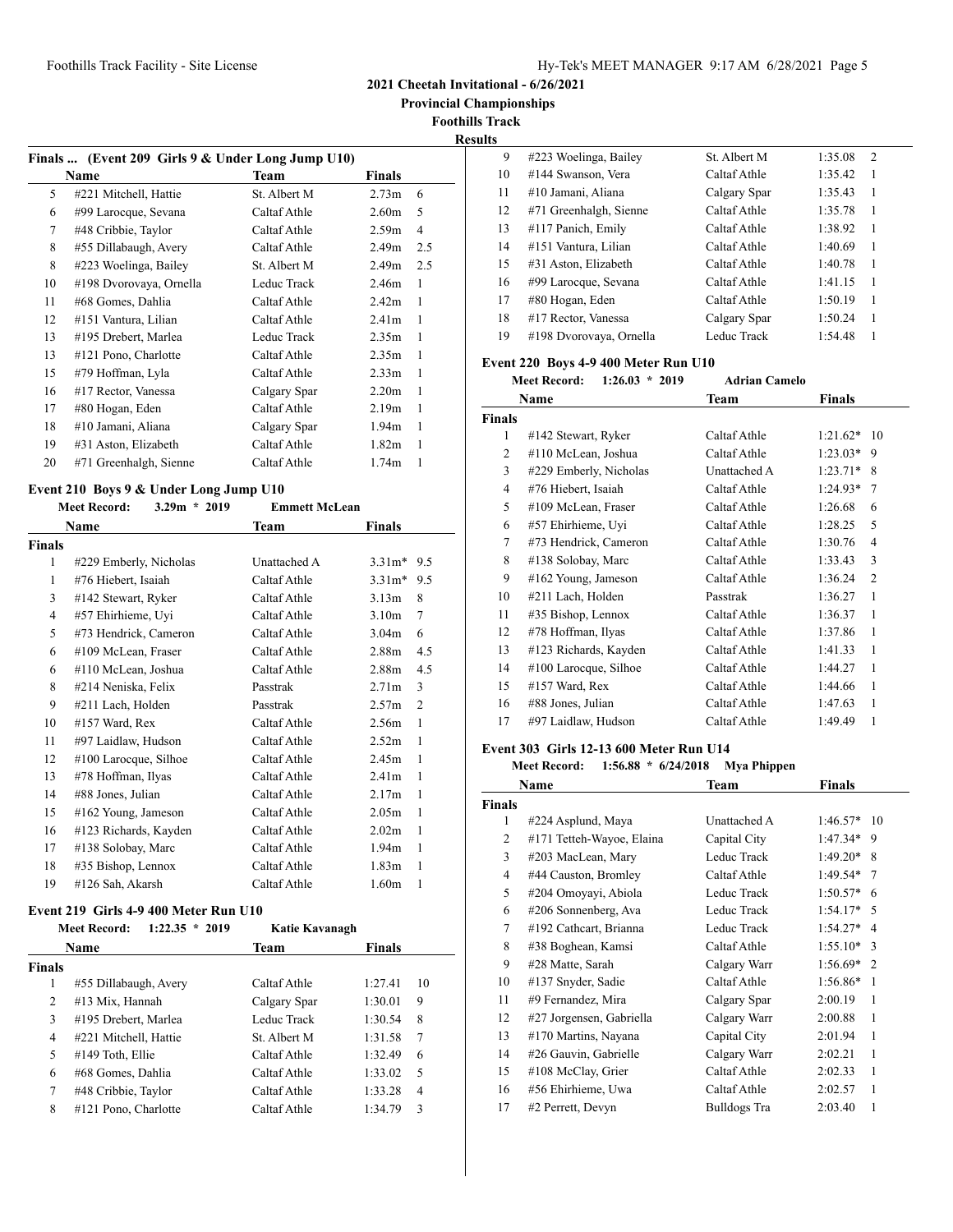**2021 Cheetah Invitational - 6/26/2021**

 **Provincial Championships**

**Foothills Track**

# **Results**

|    | Finals  (Event 209 Girls 9 & Under Long Jump U10) |              |                   |                |
|----|---------------------------------------------------|--------------|-------------------|----------------|
|    | Name                                              | <b>Team</b>  | Finals            |                |
| 5  | #221 Mitchell, Hattie                             | St. Albert M | 2.73 <sub>m</sub> | 6              |
| 6  | #99 Larocque, Sevana                              | Caltaf Athle | 2.60 <sub>m</sub> | 5              |
| 7  | #48 Cribbie, Taylor                               | Caltaf Athle | 2.59m             | $\overline{4}$ |
| 8  | #55 Dillabaugh, Avery                             | Caltaf Athle | 2.49 <sub>m</sub> | 2.5            |
| 8  | #223 Woelinga, Bailey                             | St. Albert M | 2.49 <sub>m</sub> | 2.5            |
| 10 | #198 Dvorovaya, Ornella                           | Leduc Track  | 2.46m             | 1              |
| 11 | #68 Gomes, Dahlia                                 | Caltaf Athle | 2.42 <sub>m</sub> | 1              |
| 12 | #151 Vantura, Lilian                              | Caltaf Athle | 2.41 <sub>m</sub> | 1              |
| 13 | #195 Drebert, Marlea                              | Leduc Track  | 2.35 <sub>m</sub> | 1              |
| 13 | #121 Pono, Charlotte                              | Caltaf Athle | 2.35 <sub>m</sub> | 1              |
| 15 | #79 Hoffman, Lyla                                 | Caltaf Athle | 2.33 <sub>m</sub> | 1              |
| 16 | #17 Rector, Vanessa                               | Calgary Spar | 2.20 <sub>m</sub> | 1              |
| 17 | #80 Hogan, Eden                                   | Caltaf Athle | 2.19 <sub>m</sub> | 1              |
| 18 | #10 Jamani, Aliana                                | Calgary Spar | 1.94m             | 1              |
| 19 | #31 Aston, Elizabeth                              | Caltaf Athle | 1.82 <sub>m</sub> | 1              |
| 20 | #71 Greenhalgh, Sienne                            | Caltaf Athle | 1.74m             | 1              |

### **Event 210 Boys 9 & Under Long Jump U10**

|                | <b>Meet Record:</b><br>$3.29m * 2019$ | <b>Emmett McLean</b> |                   |     |
|----------------|---------------------------------------|----------------------|-------------------|-----|
|                | Name                                  | Team                 | <b>Finals</b>     |     |
| Finals         |                                       |                      |                   |     |
| 1              | #229 Emberly, Nicholas                | Unattached A         | $3.31m*$          | 9.5 |
| 1              | #76 Hiebert, Isaiah                   | Caltaf Athle         | $3.31m*$          | 9.5 |
| 3              | #142 Stewart, Ryker                   | Caltaf Athle         | 3.13 <sub>m</sub> | 8   |
| $\overline{4}$ | #57 Ehirhieme, Uyi                    | Caltaf Athle         | 3.10 <sub>m</sub> | 7   |
| 5              | #73 Hendrick, Cameron                 | Caltaf Athle         | 3.04 <sub>m</sub> | 6   |
| 6              | #109 McLean, Fraser                   | Caltaf Athle         | 2.88 <sub>m</sub> | 4.5 |
| 6              | #110 McLean, Joshua                   | Caltaf Athle         | 2.88m             | 4.5 |
| 8              | #214 Neniska, Felix                   | Passtrak             | 2.71 <sub>m</sub> | 3   |
| 9              | #211 Lach, Holden                     | Passtrak             | 2.57 <sub>m</sub> | 2   |
| 10             | #157 Ward, Rex                        | Caltaf Athle         | 2.56m             | 1   |
| 11             | #97 Laidlaw, Hudson                   | Caltaf Athle         | 2.52 <sub>m</sub> | 1   |
| 12             | #100 Larocque, Silhoe                 | Caltaf Athle         | 2.45m             | 1   |
| 13             | #78 Hoffman, Ilyas                    | Caltaf Athle         | 2.41 <sub>m</sub> | 1   |
| 14             | #88 Jones, Julian                     | Caltaf Athle         | 2.17m             | 1   |
| 15             | $#162$ Young, Jameson                 | Caltaf Athle         | 2.05 <sub>m</sub> | 1   |
| 16             | #123 Richards, Kayden                 | Caltaf Athle         | 2.02 <sub>m</sub> | 1   |
| 17             | #138 Solobay, Marc                    | Caltaf Athle         | 1.94 <sub>m</sub> | 1   |
| 18             | #35 Bishop, Lennox                    | Caltaf Athle         | 1.83 <sub>m</sub> | 1   |
| 19             | #126 Sah, Akarsh                      | Caltaf Athle         | 1.60 <sub>m</sub> | 1   |

#### **Event 219 Girls 4-9 400 Meter Run U10**

|               | $1:22.35 * 2019$<br><b>Meet Record:</b> | Katie Kavanagh |               |                |
|---------------|-----------------------------------------|----------------|---------------|----------------|
|               | <b>Name</b>                             | Team           | <b>Finals</b> |                |
| <b>Finals</b> |                                         |                |               |                |
| 1             | #55 Dillabaugh, Avery                   | Caltaf Athle   | 1:27.41       | 10             |
| 2             | #13 Mix, Hannah                         | Calgary Spar   | 1:30.01       | 9              |
| 3             | #195 Drebert, Marlea                    | Leduc Track    | 1:30.54       | 8              |
| 4             | #221 Mitchell, Hattie                   | St. Albert M   | 1:31.58       | 7              |
| 5             | #149 Toth, Ellie                        | Caltaf Athle   | 1:32.49       | 6              |
| 6             | #68 Gomes, Dahlia                       | Caltaf Athle   | 1:33.02       | 5              |
| 7             | #48 Cribbie, Taylor                     | Caltaf Athle   | 1:33.28       | $\overline{4}$ |
| 8             | #121 Pono, Charlotte                    | Caltaf Athle   | 1:34.79       | 3              |
|               |                                         |                |               |                |

| 9  | #223 Woelinga, Bailey   | St. Albert M | 1:35.08<br>2            |  |
|----|-------------------------|--------------|-------------------------|--|
| 10 | #144 Swanson, Vera      | Caltaf Athle | 1:35.42<br>$\mathbf{1}$ |  |
| 11 | #10 Jamani, Aliana      | Calgary Spar | 1:35.43<br>1            |  |
| 12 | #71 Greenhalgh, Sienne  | Caltaf Athle | 1:35.78<br>1            |  |
| 13 | #117 Panich, Emily      | Caltaf Athle | 1:38.92<br>$\mathbf{1}$ |  |
| 14 | #151 Vantura, Lilian    | Caltaf Athle | 1:40.69<br>1            |  |
| 15 | #31 Aston, Elizabeth    | Caltaf Athle | 1:40.78<br>1            |  |
| 16 | #99 Larocque, Sevana    | Caltaf Athle | 1:41.15<br>1            |  |
| 17 | #80 Hogan, Eden         | Caltaf Athle | 1:50.19<br>1            |  |
| 18 | #17 Rector, Vanessa     | Calgary Spar | 1:50.24<br>1            |  |
| 19 | #198 Dvorovaya, Ornella | Leduc Track  | 1<br>1:54.48            |  |
|    |                         |              |                         |  |

#### **Event 220 Boys 4-9 400 Meter Run U10**

# **Meet Record: 1:26.03 \* 2019 Adrian Camelo**

|                | Name                   | Team         | <b>Finals</b>             |
|----------------|------------------------|--------------|---------------------------|
| <b>Finals</b>  |                        |              |                           |
| 1              | #142 Stewart, Ryker    | Caltaf Athle | $1:21.62*$<br>10          |
| 2              | #110 McLean, Joshua    | Caltaf Athle | $1:23.03*$<br>9           |
| 3              | #229 Emberly, Nicholas | Unattached A | $1:23.71*$<br>8           |
| $\overline{4}$ | #76 Hiebert, Isaiah    | Caltaf Athle | $1:24.93*$<br>$\tau$      |
| 5              | #109 McLean, Fraser    | Caltaf Athle | 1:26.68<br>6              |
| 6              | #57 Ehirhieme, Uyi     | Caltaf Athle | 5<br>1:28.25              |
| 7              | #73 Hendrick, Cameron  | Caltaf Athle | $\overline{4}$<br>1:30.76 |
| 8              | #138 Solobay, Marc     | Caltaf Athle | 3<br>1:33.43              |
| 9              | #162 Young, Jameson    | Caltaf Athle | $\overline{2}$<br>1:36.24 |
| 10             | #211 Lach, Holden      | Passtrak     | 1<br>1:36.27              |
| 11             | #35 Bishop, Lennox     | Caltaf Athle | 1:36.37<br>1              |
| 12             | #78 Hoffman, Ilyas     | Caltaf Athle | 1:37.86<br>1              |
| 13             | #123 Richards, Kayden  | Caltaf Athle | 1<br>1:41.33              |
| 14             | #100 Larocque, Silhoe  | Caltaf Athle | 1:44.27<br>1              |
| 15             | $#157$ Ward, Rex       | Caltaf Athle | 1<br>1:44.66              |
| 16             | #88 Jones, Julian      | Caltaf Athle | 1<br>1:47.63              |
| 17             | #97 Laidlaw, Hudson    | Caltaf Athle | 1<br>1:49.49              |
|                |                        |              |                           |

#### **Event 303 Girls 12-13 600 Meter Run U14**

**Meet Record: 1:56.88 \* 6/24/2018 Mya Phippen**

|               | Name                      | Team         | <b>Finals</b>                |
|---------------|---------------------------|--------------|------------------------------|
| <b>Finals</b> |                           |              |                              |
| 1             | #224 Asplund, Maya        | Unattached A | $1:46.57*$<br>10             |
| 2             | #171 Tetteh-Wayoe, Elaina | Capital City | $1:47.34*$<br>9              |
| 3             | #203 MacLean, Mary        | Leduc Track  | $1:49.20*$<br>8              |
| 4             | #44 Causton, Bromley      | Caltaf Athle | $1:49.54*$<br>7              |
| 5             | #204 Omoyayi, Abiola      | Leduc Track  | $1:50.57*$<br>6              |
| 6             | #206 Sonnenberg, Ava      | Leduc Track  | $1:54.17*$ 5                 |
| 7             | #192 Cathcart, Brianna    | Leduc Track  | $1:54.27*$<br>$\overline{4}$ |
| 8             | #38 Boghean, Kamsi        | Caltaf Athle | $1:55.10*$<br>$\mathcal{R}$  |
| 9             | #28 Matte, Sarah          | Calgary Warr | $1:56.69*$<br>$\overline{2}$ |
| 10            | #137 Snyder, Sadie        | Caltaf Athle | $1:56.86*$<br>$\mathbf{1}$   |
| 11            | #9 Fernandez, Mira        | Calgary Spar | 2:00.19<br>1                 |
| 12            | #27 Jorgensen, Gabriella  | Calgary Warr | 2:00.88<br>1                 |
| 13            | #170 Martins, Nayana      | Capital City | 2:01.94<br>1                 |
| 14            | #26 Gauvin, Gabrielle     | Calgary Warr | 2:02.21<br>1                 |
| 15            | #108 McClay, Grier        | Caltaf Athle | 2:02.33<br>1                 |
| 16            | #56 Ehirhieme, Uwa        | Caltaf Athle | 2:02.57<br>1                 |
| 17            | #2 Perrett, Devyn         | Bulldogs Tra | 1<br>2:03.40                 |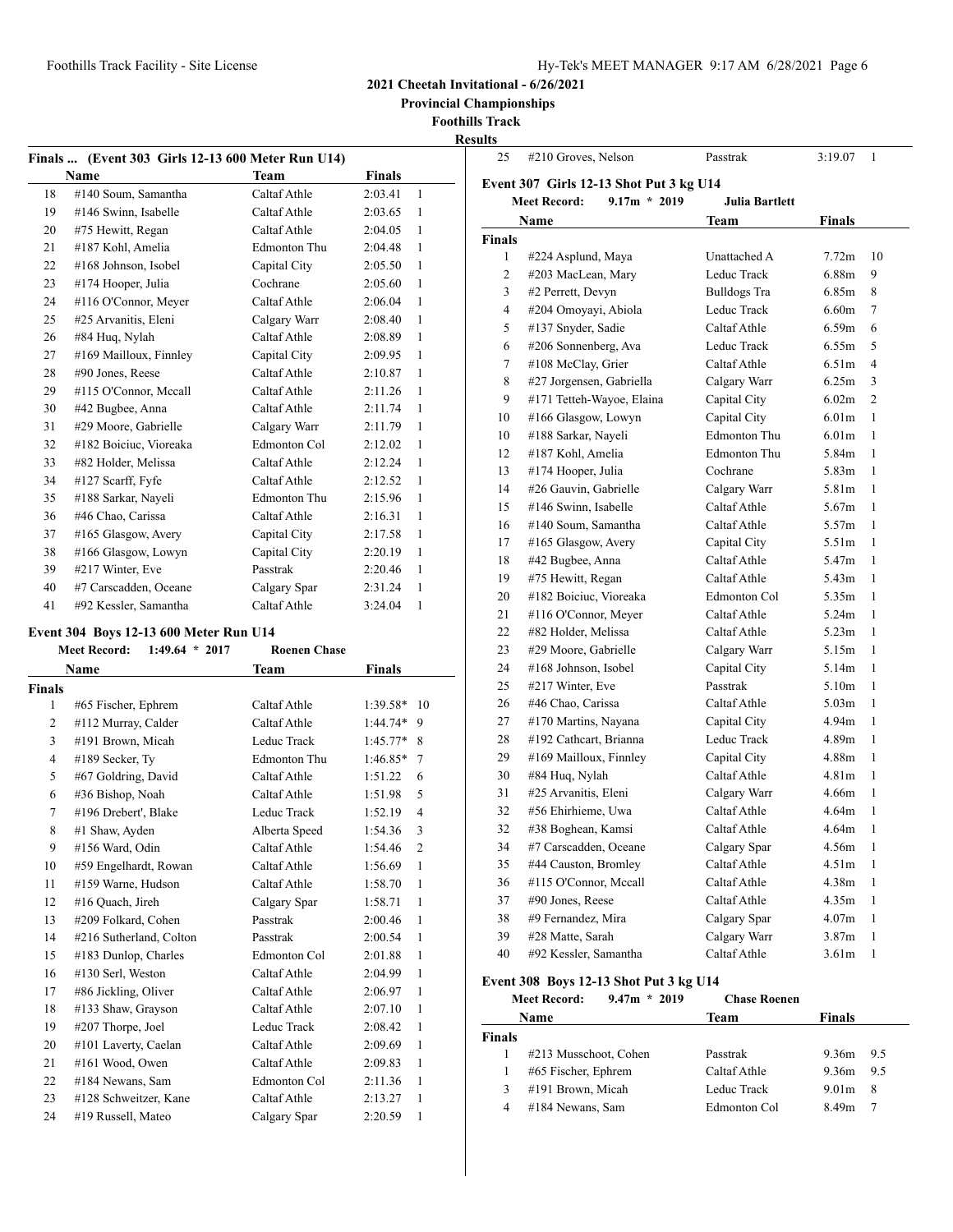**Provincial Championships**

**Foothills Track**

**Results**

| <b>Finals …</b> | (Event 303 Girls 12-13 600 Meter Run U14) |                     |               |           |
|-----------------|-------------------------------------------|---------------------|---------------|-----------|
|                 | Name                                      | <b>Team</b>         | <b>Finals</b> |           |
| 18              | #140 Soum, Samantha                       | Caltaf Athle        | 2:03.41       | 1         |
| 19              | #146 Swinn, Isabelle                      | Caltaf Athle        | 2:03.65       | 1         |
| 20              | #75 Hewitt, Regan                         | Caltaf Athle        | 2:04.05       | 1         |
| 21              | #187 Kohl, Amelia                         | <b>Edmonton Thu</b> | 2:04.48       | 1         |
| 22              | #168 Johnson, Isobel                      | Capital City        | 2:05.50       | 1         |
| 23              | #174 Hooper, Julia                        | Cochrane            | 2:05.60       | 1         |
| 24              | #116 O'Connor, Meyer                      | Caltaf Athle        | 2:06.04       | 1         |
| 25              | #25 Arvanitis, Eleni                      | Calgary Warr        | 2:08.40       | 1         |
| 26              | #84 Huq, Nylah                            | Caltaf Athle        | 2:08.89       | 1         |
| 27              | #169 Mailloux, Finnley                    | Capital City        | 2:09.95       | 1         |
| 28              | #90 Jones, Reese                          | Caltaf Athle        | 2:10.87       | 1         |
| 29              | #115 O'Connor, Mccall                     | Caltaf Athle        | 2:11.26       | 1         |
| 30              | #42 Bugbee, Anna                          | Caltaf Athle        | 2:11.74       | 1         |
| 31              | #29 Moore, Gabrielle                      | Calgary Warr        | 2:11.79       | 1         |
| 32              | #182 Boiciuc, Vioreaka                    | Edmonton Col        | 2:12.02       | 1         |
| 33              | #82 Holder, Melissa                       | Caltaf Athle        | 2:12.24       | 1         |
| 34              | #127 Scarff, Fyfe                         | Caltaf Athle        | 2:12.52       | 1         |
| 35              | #188 Sarkar, Nayeli                       | <b>Edmonton Thu</b> | 2:15.96       | 1         |
| 36              | #46 Chao, Carissa                         | Caltaf Athle        | 2:16.31       | 1         |
| 37              | #165 Glasgow, Avery                       | Capital City        | 2:17.58       | 1         |
| 38              | #166 Glasgow, Lowyn                       | Capital City        | 2:20.19       | 1         |
| 39              | #217 Winter, Eve                          | Passtrak            | 2:20.46       | 1         |
| 40              | #7 Carscadden, Oceane                     | Calgary Spar        | 2:31.24       | 1         |
| 41              | #92 Kessler, Samantha                     | Caltaf Athle        | 3:24.04       | 1         |
|                 | Event 304 Boys 12-13 600 Meter Run U14    |                     |               |           |
|                 | <b>Meet Record:</b><br>$1:49.64 * 2017$   | <b>Roenen Chase</b> |               |           |
|                 | Name                                      | Team                | Finals        |           |
| <b>Finals</b>   |                                           |                     |               |           |
| 1               | #65 Fischer, Ephrem                       | Caltaf Athle        | 1:39.58*      | 10        |
| $\overline{c}$  | #112 Murray, Calder                       | Caltaf Athle        | $1:44.74*$    | 9         |
| 3               | #191 Brown, Micah                         | Leduc Track         | $1:45.77*$    | 8         |
| 4               | #189 Secker, Ty                           | Edmonton Thu        | $1:46.85*$    | 7         |
| 5               | #67 Goldring, David                       | Caltaf Athle        | 1:51.22       | 6         |
| 6               | #36 Bishop, Noah                          | Caltaf Athle        | 1:51.98       | 5         |
| $\tau$          | $#106$ Drobort $D101c$                    | Loduo Troole        | 1.5210        | $\Lambda$ |

| nals           |                         |                     |                           | 25            |
|----------------|-------------------------|---------------------|---------------------------|---------------|
| 1              | #65 Fischer, Ephrem     | Caltaf Athle        | 1:39.58*<br>10            | 26            |
| $\overline{c}$ | #112 Murray, Calder     | Caltaf Athle        | $1:44.74*$ 9              | 27            |
| 3              | #191 Brown, Micah       | Leduc Track         | $1:45.77*$<br>8           | 28            |
| $\overline{4}$ | #189 Secker, Ty         | <b>Edmonton Thu</b> | $1:46.85*$<br>7           | 29            |
| 5              | #67 Goldring, David     | Caltaf Athle        | 1:51.22<br>6              | 30            |
| 6              | #36 Bishop, Noah        | Caltaf Athle        | 5<br>1:51.98              | 31            |
| 7              | #196 Drebert', Blake    | Leduc Track         | 1:52.19<br>$\overline{4}$ | 32            |
| 8              | #1 Shaw, Ayden          | Alberta Speed       | 1:54.36<br>3              | 32            |
| 9              | #156 Ward, Odin         | Caltaf Athle        | 1:54.46<br>$\overline{2}$ | 34            |
| 10             | #59 Engelhardt, Rowan   | Caltaf Athle        | 1:56.69<br>$\mathbf{1}$   | 35            |
| 11             | #159 Warne, Hudson      | Caltaf Athle        | 1:58.70<br>$\mathbf{1}$   | 36            |
| 12             | #16 Quach, Jireh        | Calgary Spar        | 1:58.71<br>1              | 37            |
| 13             | #209 Folkard, Cohen     | Passtrak            | 2:00.46<br>$\mathbf{1}$   | 38            |
| 14             | #216 Sutherland, Colton | Passtrak            | 2:00.54<br>1              | 39            |
| 15             | #183 Dunlop, Charles    | Edmonton Col        | 2:01.88<br>1              | 40            |
| 16             | #130 Serl, Weston       | Caltaf Athle        | 2:04.99<br>$\mathbf{1}$   | Event         |
| 17             | #86 Jickling, Oliver    | Caltaf Athle        | 2:06.97<br>$\mathbf{1}$   | N             |
| 18             | #133 Shaw, Grayson      | Caltaf Athle        | 2:07.10<br>$\mathbf{1}$   |               |
| 19             | #207 Thorpe, Joel       | Leduc Track         | 2:08.42<br>1              |               |
| 20             | #101 Laverty, Caelan    | Caltaf Athle        | 2:09.69<br>$\mathbf{1}$   | <b>Finals</b> |
| 21             | #161 Wood, Owen         | Caltaf Athle        | 1<br>2:09.83              | 1             |
| 22             | #184 Newans, Sam        | Edmonton Col        | 1<br>2:11.36              | 1             |

 #128 Schweitzer, Kane Caltaf Athle 2:13.27 1 #19 Russell, Mateo Calgary Spar 2:20.59 1

| นเเร          |                                         |                     |                   |    |
|---------------|-----------------------------------------|---------------------|-------------------|----|
| 25            | #210 Groves, Nelson                     | Passtrak            | 3:19.07           | 1  |
|               | Event 307 Girls 12-13 Shot Put 3 kg U14 |                     |                   |    |
|               | <b>Meet Record:</b><br>$9.17m * 2019$   | Julia Bartlett      |                   |    |
|               | Name                                    | Team                | <b>Finals</b>     |    |
| <b>Finals</b> |                                         |                     |                   |    |
| 1             | #224 Asplund, Maya                      | Unattached A        | 7.72 <sub>m</sub> | 10 |
| 2             | #203 MacLean, Mary                      | Leduc Track         | 6.88m             | 9  |
| 3             | #2 Perrett, Devyn                       | <b>Bulldogs Tra</b> | 6.85m             | 8  |
| 4             | #204 Omoyayi, Abiola                    | Leduc Track         | 6.60 <sub>m</sub> | 7  |
| 5             | #137 Snyder, Sadie                      | Caltaf Athle        | 6.59 <sub>m</sub> | 6  |
| 6             | #206 Sonnenberg, Ava                    | Leduc Track         | 6.55m             | 5  |
| 7             | #108 McClay, Grier                      | Caltaf Athle        | 6.51 <sub>m</sub> | 4  |
| 8             | #27 Jorgensen, Gabriella                | Calgary Warr        | 6.25m             | 3  |
| 9             | #171 Tetteh-Wayoe, Elaina               | Capital City        | 6.02m             | 2  |
| 10            | #166 Glasgow, Lowyn                     | Capital City        | 6.01 <sub>m</sub> | 1  |
| 10            | #188 Sarkar, Nayeli                     | <b>Edmonton Thu</b> | 6.01 <sub>m</sub> | 1  |
| 12            | #187 Kohl, Amelia                       | <b>Edmonton Thu</b> | 5.84m             | 1  |
| 13            | #174 Hooper, Julia                      | Cochrane            | 5.83 <sub>m</sub> | 1  |
| 14            | #26 Gauvin, Gabrielle                   | Calgary Warr        | 5.81m             | 1  |
| 15            | #146 Swinn, Isabelle                    | Caltaf Athle        | 5.67 <sub>m</sub> | 1  |
| 16            | #140 Soum, Samantha                     | Caltaf Athle        | 5.57m             | 1  |
| 17            | #165 Glasgow, Avery                     | Capital City        | 5.51 <sub>m</sub> | 1  |
| 18            | #42 Bugbee, Anna                        | Caltaf Athle        | 5.47m             | 1  |
| 19            | #75 Hewitt, Regan                       | Caltaf Athle        | 5.43 <sub>m</sub> | 1  |
| 20            | #182 Boiciuc, Vioreaka                  | Edmonton Col        | 5.35m             | 1  |
| 21            | #116 O'Connor, Meyer                    | Caltaf Athle        | 5.24m             | 1  |
| 22            | #82 Holder, Melissa                     | Caltaf Athle        | 5.23 <sub>m</sub> | 1  |
| 23            | #29 Moore, Gabrielle                    | Calgary Warr        | 5.15m             | 1  |
| 24            | #168 Johnson, Isobel                    | Capital City        | 5.14m             | 1  |
| 25            | #217 Winter, Eve                        | Passtrak            | 5.10 <sub>m</sub> | 1  |
| 26            | #46 Chao, Carissa                       | Caltaf Athle        | 5.03 <sub>m</sub> | 1  |
| 27            | #170 Martins, Nayana                    | Capital City        | 4.94m             | 1  |
| 28            | #192 Cathcart, Brianna                  | Leduc Track         | 4.89m             | 1  |
| 29            | #169 Mailloux, Finnley                  | Capital City        | 4.88m             | 1  |
| 30            | #84 Huq, Nylah                          | Caltaf Athle        | 4.81 <sub>m</sub> | 1  |
| 31            | #25 Arvanitis, Eleni                    | Calgary Warr        | 4.66m             | 1  |
| 32            | #56 Ehirhieme, Uwa                      | Caltaf Athle        | 4.64m             | 1  |
| 32            | #38 Boghean, Kamsi                      | Caltaf Athle        | 4.64m             | 1  |
| 34            | #7 Carscadden, Oceane                   | Calgary Spar        | 4.56m             | 1  |
| 35            | #44 Causton, Bromley                    | Caltaf Athle        | 4.51m             | 1  |
| 36            | #115 O'Connor, Mccall                   | Caltaf Athle        | 4.38m             | 1  |
| 37            | #90 Jones, Reese                        | Caltaf Athle        | 4.35m             | 1  |
| 38            | #9 Fernandez, Mira                      | Calgary Spar        | 4.07m             | 1  |
| 39            | #28 Matte, Sarah                        | Calgary Warr        | 3.87m             | 1  |
| 40            | #92 Kessler, Samantha                   | Caltaf Athle        | 3.61 <sub>m</sub> | 1  |

#### **Event 308 Boys 12-13 Shot Put 3 kg U14**

#### **Meet Record: 9.47m \* 2019 Chase Roenen**

|        | Name                  | Team         | Finals            |     |
|--------|-----------------------|--------------|-------------------|-----|
| Finals |                       |              |                   |     |
|        | #213 Musschoot, Cohen | Passtrak     | $9.36m$ $9.5$     |     |
|        | #65 Fischer, Ephrem   | Caltaf Athle | 9.36m             | 9.5 |
| 3      | #191 Brown, Micah     | Leduc Track  | 9.01 <sub>m</sub> | -8  |
|        | #184 Newans, Sam      | Edmonton Col | 8.49m             |     |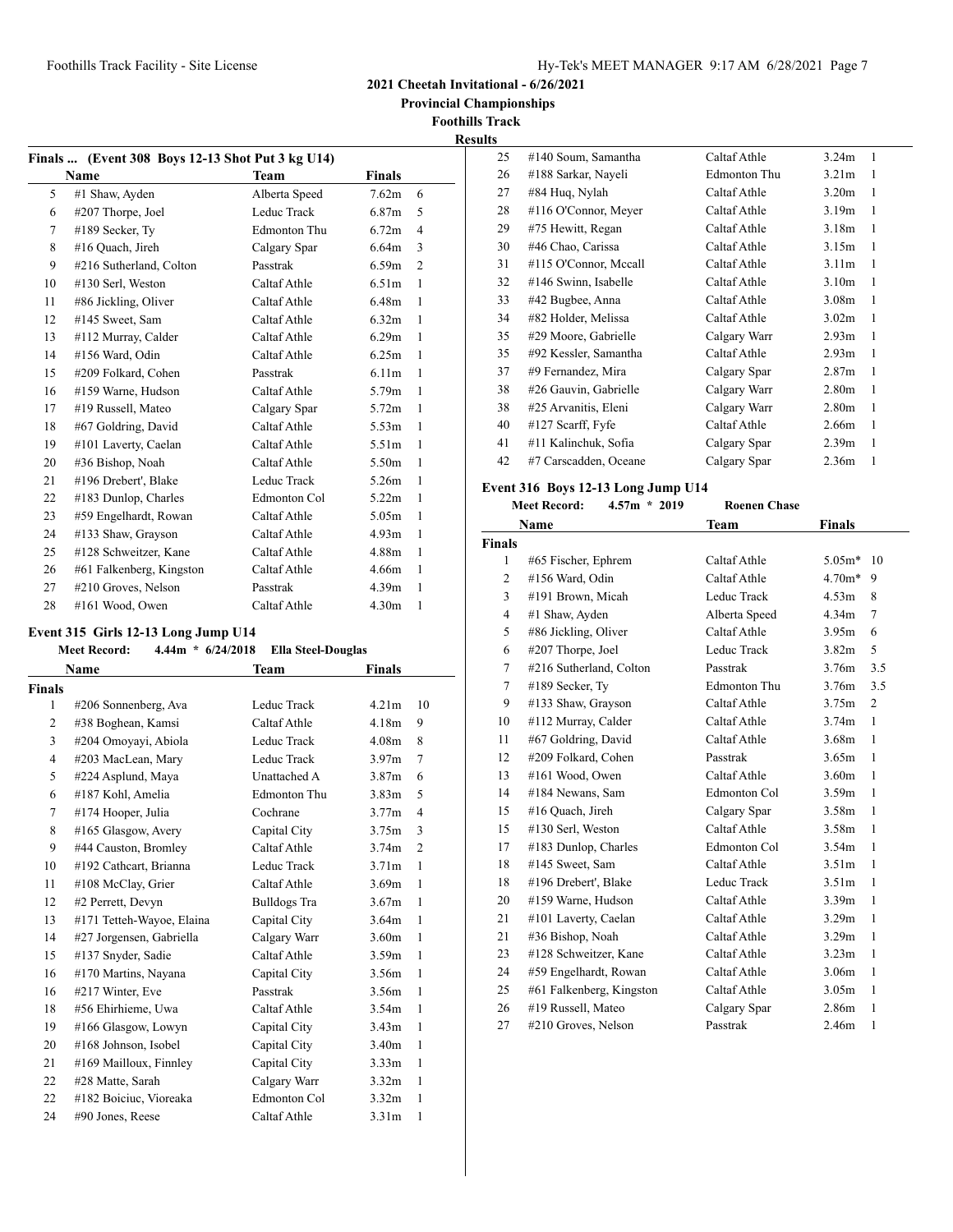**2021 Cheetah Invitational - 6/26/2021**

 **Provincial Championships**

**Foothills Track Results**

|              | Finals  (Event 308 Boys 12-13 Shot Put 3 kg U14) |                     |                   |                |  |  |
|--------------|--------------------------------------------------|---------------------|-------------------|----------------|--|--|
| Team<br>Name |                                                  |                     | Finals            |                |  |  |
| 5            | #1 Shaw, Ayden                                   | Alberta Speed       | 7.62m             | 6              |  |  |
| 6            | $\#207$ Thorpe, Joel                             | Leduc Track         | 6.87 <sub>m</sub> | 5              |  |  |
| 7            | #189 Secker, Ty                                  | <b>Edmonton Thu</b> | 6.72m             | 4              |  |  |
| 8            | #16 Quach, Jireh                                 | Calgary Spar        | 6.64m             | 3              |  |  |
| 9            | #216 Sutherland, Colton                          | Passtrak            | 6.59m             | $\overline{2}$ |  |  |
| 10           | #130 Serl, Weston                                | Caltaf Athle        | 6.51 <sub>m</sub> | 1              |  |  |
| 11           | #86 Jickling, Oliver                             | Caltaf Athle        | 6.48m             | 1              |  |  |
| 12           | #145 Sweet, Sam                                  | Caltaf Athle        | 6.32m             | 1              |  |  |
| 13           | #112 Murray, Calder                              | Caltaf Athle        | 6.29m             | 1              |  |  |
| 14           | #156 Ward, Odin                                  | Caltaf Athle        | 6.25m             | 1              |  |  |
| 15           | #209 Folkard, Cohen                              | Passtrak            | 6.11m             | 1              |  |  |
| 16           | #159 Warne, Hudson                               | Caltaf Athle        | 5.79m             | 1              |  |  |
| 17           | #19 Russell, Mateo                               | Calgary Spar        | 5.72 <sub>m</sub> | 1              |  |  |
| 18           | #67 Goldring, David                              | Caltaf Athle        | 5.53m             | 1              |  |  |
| 19           | #101 Laverty, Caelan                             | Caltaf Athle        | 5.51 <sub>m</sub> | 1              |  |  |
| 20           | #36 Bishop, Noah                                 | Caltaf Athle        | 5.50m             | 1              |  |  |
| 21           | #196 Drebert', Blake                             | Leduc Track         | 5.26m             | 1              |  |  |
| 22           | #183 Dunlop, Charles                             | Edmonton Col        | 5.22m             | 1              |  |  |
| 23           | #59 Engelhardt, Rowan                            | Caltaf Athle        | 5.05m             | 1              |  |  |
| 24           | #133 Shaw, Grayson                               | Caltaf Athle        | 4.93 <sub>m</sub> | 1              |  |  |
| 25           | #128 Schweitzer, Kane                            | Caltaf Athle        | 4.88m             | 1              |  |  |
| 26           | #61 Falkenberg, Kingston                         | Caltaf Athle        | 4.66m             | 1              |  |  |
| 27           | #210 Groves, Nelson                              | Passtrak            | 4.39 <sub>m</sub> | 1              |  |  |
| 28           | #161 Wood, Owen                                  | Caltaf Athle        | 4.30 <sub>m</sub> | 1              |  |  |

#### **Event 315 Girls 12-13 Long Jump U14**

#### **Meet Record: 4.44m \* 6/24/2018 Ella Steel-Douglas**

|                | Name                      | Team                | Finals            |                |
|----------------|---------------------------|---------------------|-------------------|----------------|
| Finals         |                           |                     |                   |                |
| 1              | #206 Sonnenberg, Ava      | Leduc Track         | 4.21 <sub>m</sub> | 10             |
| $\overline{2}$ | #38 Boghean, Kamsi        | Caltaf Athle        | 4.18m             | 9              |
| 3              | #204 Omoyayi, Abiola      | Leduc Track         | 4.08 <sub>m</sub> | 8              |
| 4              | #203 MacLean, Mary        | Leduc Track         | 3.97 <sub>m</sub> | 7              |
| 5              | #224 Asplund, Maya        | Unattached A        | 3.87 <sub>m</sub> | 6              |
| 6              | #187 Kohl, Amelia         | <b>Edmonton Thu</b> | 3.83 <sub>m</sub> | 5              |
| 7              | #174 Hooper, Julia        | Cochrane            | 3.77m             | 4              |
| 8              | $#165$ Glasgow, Avery     | Capital City        | 3.75m             | 3              |
| 9              | #44 Causton, Bromley      | Caltaf Athle        | 3.74 <sub>m</sub> | $\overline{2}$ |
| 10             | #192 Cathcart, Brianna    | Leduc Track         | 3.71 <sub>m</sub> | 1              |
| 11             | #108 McClay, Grier        | Caltaf Athle        | 3.69m             | 1              |
| 12             | #2 Perrett, Devyn         | Bulldogs Tra        | 3.67m             | $\mathbf{1}$   |
| 13             | #171 Tetteh-Wayoe, Elaina | Capital City        | 3.64m             | $\mathbf{1}$   |
| 14             | #27 Jorgensen, Gabriella  | Calgary Warr        | 3.60 <sub>m</sub> | $\mathbf{1}$   |
| 15             | #137 Snyder, Sadie        | Caltaf Athle        | 3.59m             | 1              |
| 16             | #170 Martins, Nayana      | Capital City        | 3.56m             | 1              |
| 16             | #217 Winter, Eve          | Passtrak            | 3.56m             | 1              |
| 18             | #56 Ehirhieme, Uwa        | Caltaf Athle        | 3.54 <sub>m</sub> | 1              |
| 19             | #166 Glasgow, Lowyn       | Capital City        | 3.43 <sub>m</sub> | 1              |
| 20             | #168 Johnson, Isobel      | Capital City        | 3.40 <sub>m</sub> | 1              |
| 21             | #169 Mailloux, Finnley    | Capital City        | 3.33 <sub>m</sub> | 1              |
| 22             | #28 Matte, Sarah          | Calgary Warr        | 3.32 <sub>m</sub> | $\mathbf{1}$   |
| 22             | #182 Boiciuc, Vioreaka    | Edmonton Col        | 3.32 <sub>m</sub> | 1              |
| 24             | #90 Jones, Reese          | Caltaf Athle        | 3.31 <sub>m</sub> | 1              |

| 25 | #140 Soum, Samantha   | Caltaf Athle | 3.24m             | 1 |
|----|-----------------------|--------------|-------------------|---|
| 26 | #188 Sarkar, Nayeli   | Edmonton Thu | 3.21 <sub>m</sub> | 1 |
| 27 | #84 Huq, Nylah        | Caltaf Athle | 3.20 <sub>m</sub> | 1 |
| 28 | #116 O'Connor, Meyer  | Caltaf Athle | 3.19 <sub>m</sub> | 1 |
| 29 | #75 Hewitt, Regan     | Caltaf Athle | 3.18 <sub>m</sub> | 1 |
| 30 | #46 Chao, Carissa     | Caltaf Athle | 3.15m             | 1 |
| 31 | #115 O'Connor, Mccall | Caltaf Athle | 3.11 <sub>m</sub> | 1 |
| 32 | #146 Swinn, Isabelle  | Caltaf Athle | 3.10 <sub>m</sub> | 1 |
| 33 | #42 Bugbee, Anna      | Caltaf Athle | 3.08 <sub>m</sub> | 1 |
| 34 | #82 Holder, Melissa   | Caltaf Athle | 3.02 <sub>m</sub> | 1 |
| 35 | #29 Moore, Gabrielle  | Calgary Warr | 2.93 <sub>m</sub> | 1 |
| 35 | #92 Kessler, Samantha | Caltaf Athle | 2.93 <sub>m</sub> | 1 |
| 37 | #9 Fernandez, Mira    | Calgary Spar | 2.87 <sub>m</sub> | 1 |
| 38 | #26 Gauvin, Gabrielle | Calgary Warr | 2.80 <sub>m</sub> | 1 |
| 38 | #25 Arvanitis, Eleni  | Calgary Warr | 2.80 <sub>m</sub> | 1 |
| 40 | $#127$ Scarff, Fyfe   | Caltaf Athle | 2.66m             | 1 |
| 41 | #11 Kalinchuk, Sofia  | Calgary Spar | 2.39 <sub>m</sub> | 1 |
| 42 | #7 Carscadden, Oceane | Calgary Spar | 2.36 <sub>m</sub> | 1 |

# **Event 316 Boys 12-13 Long Jump U14**<br>Most Bosord: 457m  $*$  2019

|                | <b>Meet Record:</b><br>$4.57m * 2019$ | <b>Roenen Chase</b> |                   |              |
|----------------|---------------------------------------|---------------------|-------------------|--------------|
|                | Name                                  | Team                | Finals            |              |
| <b>Finals</b>  |                                       |                     |                   |              |
| 1              | #65 Fischer, Ephrem                   | Caltaf Athle        | $5.05m*$          | 10           |
| 2              | #156 Ward, Odin                       | Caltaf Athle        | $4.70m*$          | 9            |
| 3              | #191 Brown, Micah                     | Leduc Track         | 4.53m             | 8            |
| $\overline{4}$ | #1 Shaw, Ayden                        | Alberta Speed       | 4.34 <sub>m</sub> | 7            |
| 5              | #86 Jickling, Oliver                  | Caltaf Athle        | 3.95m             | 6            |
| 6              | #207 Thorpe, Joel                     | Leduc Track         | 3.82 <sub>m</sub> | 5            |
| 7              | #216 Sutherland, Colton               | Passtrak            | 3.76m             | 3.5          |
| 7              | #189 Secker, Ty                       | <b>Edmonton Thu</b> | 3.76m             | 3.5          |
| 9              | #133 Shaw, Grayson                    | Caltaf Athle        | 3.75m             | 2            |
| 10             | #112 Murray, Calder                   | Caltaf Athle        | 3.74 <sub>m</sub> | $\mathbf{1}$ |
| 11             | #67 Goldring, David                   | Caltaf Athle        | 3.68 <sub>m</sub> | $\mathbf{1}$ |
| 12             | #209 Folkard, Cohen                   | Passtrak            | 3.65m             | 1            |
| 13             | #161 Wood, Owen                       | Caltaf Athle        | 3.60 <sub>m</sub> | 1            |
| 14             | #184 Newans, Sam                      | Edmonton Col        | 3.59 <sub>m</sub> | $\mathbf{1}$ |
| 15             | #16 Quach, Jireh                      | Calgary Spar        | 3.58 <sub>m</sub> | 1            |
| 15             | #130 Serl, Weston                     | Caltaf Athle        | 3.58 <sub>m</sub> | 1            |
| 17             | #183 Dunlop, Charles                  | Edmonton Col        | 3.54 <sub>m</sub> | 1            |
| 18             | #145 Sweet, Sam                       | Caltaf Athle        | 3.51 <sub>m</sub> | $\mathbf{1}$ |
| 18             | #196 Drebert', Blake                  | Leduc Track         | 3.51 <sub>m</sub> | $\mathbf{1}$ |
| 20             | #159 Warne, Hudson                    | Caltaf Athle        | 3.39 <sub>m</sub> | 1            |
| 21             | #101 Laverty, Caelan                  | Caltaf Athle        | 3.29 <sub>m</sub> | $\mathbf{1}$ |
| 21             | #36 Bishop, Noah                      | Caltaf Athle        | 3.29 <sub>m</sub> | $\mathbf{1}$ |
| 23             | #128 Schweitzer, Kane                 | Caltaf Athle        | 3.23 <sub>m</sub> | $\mathbf{1}$ |
| 24             | #59 Engelhardt, Rowan                 | Caltaf Athle        | 3.06 <sub>m</sub> | 1            |
| 25             | #61 Falkenberg, Kingston              | Caltaf Athle        | 3.05 <sub>m</sub> | 1            |
| 26             | #19 Russell, Mateo                    | Calgary Spar        | 2.86m             | $\mathbf{1}$ |
| 27             | #210 Groves, Nelson                   | Passtrak            | 2.46m             | 1            |
|                |                                       |                     |                   |              |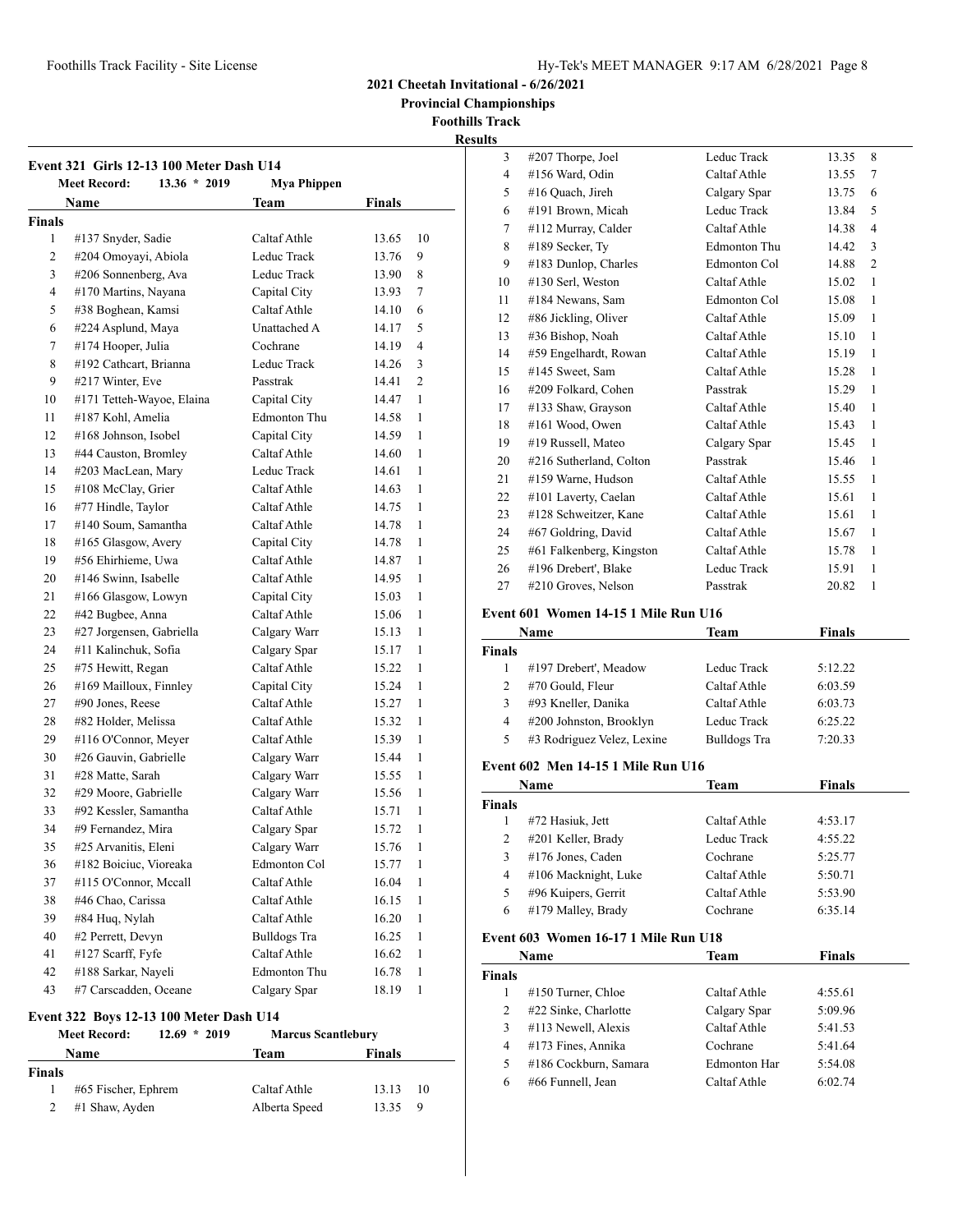Foothills Track Facility - Site License

|  | Hy-Tek's MEET MANAGER 9:17 AM 6/28/2021 Page 8 |  |  |  |
|--|------------------------------------------------|--|--|--|
|--|------------------------------------------------|--|--|--|

**2021 Cheetah Invitational - 6/26/2021**

 **Provincial Championships**

**Foothills Track Results**

| Event 321 Girls 12-13 100 Meter Dash U14<br><b>Meet Record:</b><br>$13.36 * 2019$<br><b>Mya Phippen</b> |                           |                     |       |       |
|---------------------------------------------------------------------------------------------------------|---------------------------|---------------------|-------|-------|
| Team<br>Name<br><b>Finals</b>                                                                           |                           |                     |       |       |
| <b>Finals</b>                                                                                           |                           |                     |       |       |
| 1                                                                                                       | #137 Snyder, Sadie        | Caltaf Athle        | 13.65 | 10    |
| 2                                                                                                       | #204 Omoyayi, Abiola      | Leduc Track         | 13.76 | 9     |
| 3                                                                                                       | #206 Sonnenberg, Ava      | Leduc Track         | 13.90 | 8     |
| 4                                                                                                       | #170 Martins, Nayana      | Capital City        | 13.93 | 7     |
| 5                                                                                                       | #38 Boghean, Kamsi        | Caltaf Athle        | 14.10 | 6     |
| 6                                                                                                       | #224 Asplund, Maya        | Unattached A        | 14.17 | 5     |
| 7                                                                                                       | #174 Hooper, Julia        | Cochrane            | 14.19 | 4     |
| 8                                                                                                       | #192 Cathcart, Brianna    | Leduc Track         | 14.26 | 3     |
| 9                                                                                                       | #217 Winter, Eve          | Passtrak            | 14.41 | 2     |
| 10                                                                                                      | #171 Tetteh-Wayoe, Elaina | Capital City        | 14.47 | 1     |
| 11                                                                                                      | #187 Kohl, Amelia         | Edmonton Thu        | 14.58 | 1     |
| 12                                                                                                      | #168 Johnson, Isobel      | Capital City        | 14.59 | 1     |
| 13                                                                                                      | #44 Causton, Bromley      | Caltaf Athle        | 14.60 | 1     |
| 14                                                                                                      | #203 MacLean, Mary        | Leduc Track         | 14.61 | 1     |
| 15                                                                                                      | #108 McClay, Grier        | Caltaf Athle        | 14.63 | 1     |
| 16                                                                                                      | #77 Hindle, Taylor        | Caltaf Athle        | 14.75 | 1     |
| 17                                                                                                      | #140 Soum, Samantha       | Caltaf Athle        | 14.78 | 1     |
| 18                                                                                                      | #165 Glasgow, Avery       | Capital City        | 14.78 | 1     |
| 19                                                                                                      | #56 Ehirhieme, Uwa        | Caltaf Athle        | 14.87 | 1     |
| 20                                                                                                      | #146 Swinn, Isabelle      | Caltaf Athle        | 14.95 | 1     |
| 21                                                                                                      | #166 Glasgow, Lowyn       | Capital City        | 15.03 | 1     |
| 22                                                                                                      | #42 Bugbee, Anna          | Caltaf Athle        | 15.06 | 1     |
| 23                                                                                                      | #27 Jorgensen, Gabriella  | Calgary Warr        | 15.13 | 1     |
| 24                                                                                                      | #11 Kalinchuk, Sofia      | Calgary Spar        | 15.17 | 1     |
| 25                                                                                                      | #75 Hewitt, Regan         | Caltaf Athle        | 15.22 | 1     |
| 26                                                                                                      | #169 Mailloux, Finnley    | Capital City        | 15.24 | 1     |
| 27                                                                                                      | #90 Jones, Reese          | Caltaf Athle        | 15.27 | 1     |
| 28                                                                                                      | #82 Holder, Melissa       | Caltaf Athle        | 15.32 | 1     |
| 29                                                                                                      | #116 O'Connor, Meyer      | Caltaf Athle        | 15.39 | 1     |
| 30                                                                                                      | #26 Gauvin, Gabrielle     | Calgary Warr        | 15.44 | 1     |
| 31                                                                                                      | #28 Matte, Sarah          | Calgary Warr        | 15.55 | 1     |
| 32                                                                                                      | #29 Moore, Gabrielle      | Calgary Warr        | 15.56 | 1     |
| 33                                                                                                      | #92 Kessler, Samantha     | Caltaf Athle        | 15.71 | 1     |
| 34                                                                                                      | #9 Fernandez, Mira        | Calgary Spar        | 15.72 | 1     |
| 35                                                                                                      | #25 Arvanitis, Eleni      | Calgary Warr        | 15.76 | $\,1$ |
| 36                                                                                                      | #182 Boiciuc, Vioreaka    | Edmonton Col        | 15.77 | 1     |
| 37                                                                                                      | #115 O'Connor, Mccall     | Caltaf Athle        | 16.04 | 1     |
| 38                                                                                                      | #46 Chao, Carissa         | Caltaf Athle        | 16.15 | 1     |
| 39                                                                                                      | #84 Huq, Nylah            | Caltaf Athle        | 16.20 | 1     |
| 40                                                                                                      | #2 Perrett, Devyn         | <b>Bulldogs Tra</b> | 16.25 | 1     |
| 41                                                                                                      | #127 Scarff, Fyfe         | Caltaf Athle        | 16.62 | 1     |
| 42                                                                                                      | #188 Sarkar, Nayeli       | Edmonton Thu        | 16.78 | 1     |
| 43                                                                                                      | #7 Carscadden, Oceane     | Calgary Spar        | 18.19 | 1     |

#### **Event 322 Boys 12-13 100 Meter Dash U14**

|               | <b>Meet Record:</b> | $12.69 * 2019$ | <b>Marcus Scantlebury</b> |        |     |
|---------------|---------------------|----------------|---------------------------|--------|-----|
|               | Name                |                | Team                      | Finals |     |
| <b>Finals</b> |                     |                |                           |        |     |
|               | #65 Fischer, Ephrem |                | Caltaf Athle              | 13.13  | -10 |
|               | #1 Shaw, Ayden      |                | Alberta Speed             | 13.35  | -9  |

| 3  | #207 Thorpe, Joel        | Leduc Track  | 13.35 | 8              |
|----|--------------------------|--------------|-------|----------------|
| 4  | #156 Ward, Odin          | Caltaf Athle | 13.55 | 7              |
| 5  | #16 Quach, Jireh         | Calgary Spar | 13.75 | 6              |
| 6  | #191 Brown, Micah        | Leduc Track  | 13.84 | 5              |
| 7  | #112 Murray, Calder      | Caltaf Athle | 14.38 | 4              |
| 8  | #189 Secker, Ty          | Edmonton Thu | 14.42 | 3              |
| 9  | #183 Dunlop, Charles     | Edmonton Col | 14.88 | $\overline{2}$ |
| 10 | #130 Serl, Weston        | Caltaf Athle | 15.02 | $\mathbf{1}$   |
| 11 | #184 Newans, Sam         | Edmonton Col | 15.08 | 1              |
| 12 | #86 Jickling, Oliver     | Caltaf Athle | 15.09 | 1              |
| 13 | #36 Bishop, Noah         | Caltaf Athle | 15.10 | 1              |
| 14 | #59 Engelhardt, Rowan    | Caltaf Athle | 15.19 | $\mathbf{1}$   |
| 15 | #145 Sweet, Sam          | Caltaf Athle | 15.28 | 1              |
| 16 | #209 Folkard, Cohen      | Passtrak     | 15.29 | $\mathbf{1}$   |
| 17 | #133 Shaw, Grayson       | Caltaf Athle | 15.40 | 1              |
| 18 | #161 Wood, Owen          | Caltaf Athle | 15.43 | 1              |
| 19 | #19 Russell, Mateo       | Calgary Spar | 15.45 | 1              |
| 20 | #216 Sutherland, Colton  | Passtrak     | 15.46 | $\mathbf{1}$   |
| 21 | #159 Warne, Hudson       | Caltaf Athle | 15.55 | 1              |
| 22 | #101 Laverty, Caelan     | Caltaf Athle | 15.61 | $\mathbf{1}$   |
| 23 | #128 Schweitzer, Kane    | Caltaf Athle | 15.61 | 1              |
| 24 | #67 Goldring, David      | Caltaf Athle | 15.67 | 1              |
| 25 | #61 Falkenberg, Kingston | Caltaf Athle | 15.78 | 1              |
| 26 | #196 Drebert', Blake     | Leduc Track  | 15.91 | $\mathbf{1}$   |
| 27 | #210 Groves, Nelson      | Passtrak     | 20.82 | 1              |

### **Event 601 Women 14-15 1 Mile Run U16**

|               | Name                       | Team         | <b>Finals</b> |  |
|---------------|----------------------------|--------------|---------------|--|
| <b>Finals</b> |                            |              |               |  |
|               | #197 Drebert', Meadow      | Leduc Track  | 5:12.22       |  |
| 2             | #70 Gould, Fleur           | Caltaf Athle | 6:03.59       |  |
| 3             | #93 Kneller, Danika        | Caltaf Athle | 6:03.73       |  |
| 4             | #200 Johnston, Brooklyn    | Leduc Track  | 6:25.22       |  |
| 5             | #3 Rodriguez Velez, Lexine | Bulldogs Tra | 7:20.33       |  |

### **Event 602 Men 14-15 1 Mile Run U16**

|                | <b>Finals</b><br>Name<br>Team |              |         |  |  |
|----------------|-------------------------------|--------------|---------|--|--|
|                | <b>Finals</b>                 |              |         |  |  |
|                | #72 Hasiuk, Jett              | Caltaf Athle | 4:53.17 |  |  |
| 2              | #201 Keller, Brady            | Leduc Track  | 4:55.22 |  |  |
| 3              | #176 Jones, Caden             | Cochrane     | 5:25.77 |  |  |
| $\overline{4}$ | #106 Macknight, Luke          | Caltaf Athle | 5:50.71 |  |  |
| 5              | #96 Kuipers, Gerrit           | Caltaf Athle | 5:53.90 |  |  |
| 6              | #179 Malley, Brady            | Cochrane     | 6:35.14 |  |  |

# **Event 603 Women 16-17 1 Mile Run U18**

| Name          |                       | Team         | <b>Finals</b> |  |
|---------------|-----------------------|--------------|---------------|--|
| <b>Finals</b> |                       |              |               |  |
|               | #150 Turner, Chloe    | Caltaf Athle | 4:55.61       |  |
| 2             | #22 Sinke, Charlotte  | Calgary Spar | 5:09.96       |  |
| 3             | #113 Newell, Alexis   | Caltaf Athle | 5:41.53       |  |
| 4             | #173 Fines, Annika    | Cochrane     | 5:41.64       |  |
| 5             | #186 Cockburn, Samara | Edmonton Har | 5:54.08       |  |
| 6             | #66 Funnell, Jean     | Caltaf Athle | 6:02.74       |  |